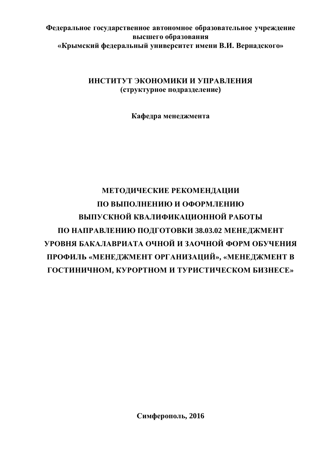# Федеральное государственное автономное образовательное учреждение **высшего образования** «Крымский федеральный университет имени В.И. Вернадского»

# ИНСТИТУТ ЭКОНОМИКИ И УПРАВЛЕНИЯ  $(c$ труктурное подразделение)

Кафедра менеджмента

# МЕТОДИЧЕСКИЕ РЕКОМЕНДАЦИИ ПО ВЫПОЛНЕНИЮ И ОФОРМЛЕНИЮ **ВЫПУСКНОЙ КВАЛИФИКАЦИОННОЙ РАБОТЫ** ПО НАПРАВЛЕНИЮ ПОДГОТОВКИ 38.03.02 МЕНЕДЖМЕНТ УРОВНЯ БАКАЛАВРИАТА ОЧНОЙ И ЗАОЧНОЙ ФОРМ ОБУЧЕНИЯ ПРОФИЛЬ «МЕНЕДЖМЕНТ ОРГАНИЗАЦИЙ», «МЕНЕДЖМЕНТ В ГОСТИНИЧНОМ. КУРОРТНОМ И ТУРИСТИЧЕСКОМ БИЗНЕСЕ»

Симферополь, 2016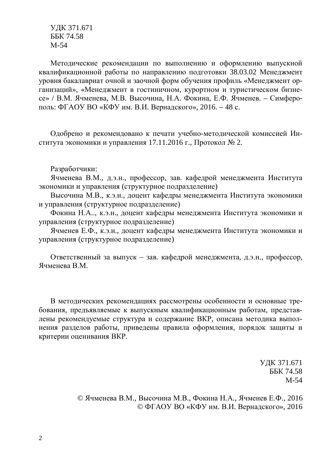**УДК 371.671** ȻȻɄ 74.58 M-54

Методические рекомендации по выполнению и оформлению выпускной квалификационной работы по направлению подготовки 38.03.02 Менеджмент уровня бакалавриат очной и заочной форм обучения профиль «Менеджмент организаций», «Менеджмент в гостиничном, курортном и туристическом бизнесе» / В.М. Ячменева, М.В. Высочина, Н.А. Фокина, Е.Ф. Ячменев. – Симферополь: ФГАОУ ВО «КФУ им. В.И. Вернадского», 2016. – 48 с.

Одобрено и рекомендовано к печати учебно-методической комиссией Института экономики и управления 17.11.2016 г., Протокол  $\mathbb{N}^{\circ}$  2.

Разработчики:

Ячменева В.М., д.э.н., профессор, зав. кафедрой менеджмента Института экономики и управления (структурное подразделение)

Высочина М.В., к.э.н., доцент кафедры менеджмента Института экономики и управления (структурное подразделение)

Фокина Н.А., к.э.н., доцент кафедры менеджмента Института экономики и управления (структурное подразделение)

Ячменев Е.Ф., к.э.н., доцент кафедры менеджмента Института экономики и үправления (структурное подразделение)

Ответственный за выпуск – зав. кафедрой менеджмента, д.э.н., профессор, Ячменева В.М.

В методических рекомендациях рассмотрены особенности и основные требования, предъявляемые к выпускным квалификационным работам, представлены рекомендуемые структура и содержание ВКР, описана методика выполнения разделов работы, приведены правила оформления, порядок защиты и критерии оценивания ВКР.

> ɍȾɄ 371.671 **ББК 74.58** M-54

© Ячменева В.М., Высочина М.В., Фокина Н.А., Ячменев Е.Ф., 2016 © ФГАОУ ВО «КФУ им. В.И. Вернадского», 2016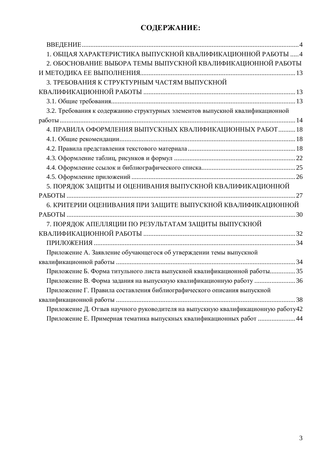# СОДЕРЖАНИЕ:

| 1. ОБЩАЯ ХАРАКТЕРИСТИКА ВЫПУСКНОЙ КВАЛИФИКАЦИОННОЙ РАБОТЫ  4                     |
|----------------------------------------------------------------------------------|
| 2. ОБОСНОВАНИЕ ВЫБОРА ТЕМЫ ВЫПУСКНОЙ КВАЛИФИКАЦИОННОЙ РАБОТЫ                     |
|                                                                                  |
| 3. ТРЕБОВАНИЯ К СТРУКТУРНЫМ ЧАСТЯМ ВЫПУСКНОЙ                                     |
|                                                                                  |
|                                                                                  |
| 3.2. Требования к содержанию структурных элементов выпускной квалификационной    |
|                                                                                  |
| 4. ПРАВИЛА ОФОРМЛЕНИЯ ВЫПУСКНЫХ КВАЛИФИКАЦИОННЫХ РАБОТ  18                       |
|                                                                                  |
|                                                                                  |
|                                                                                  |
|                                                                                  |
|                                                                                  |
| 5. ПОРЯДОК ЗАЩИТЫ И ОЦЕНИВАНИЯ ВЫПУСКНОЙ КВАЛИФИКАЦИОННОЙ                        |
|                                                                                  |
| 6. КРИТЕРИИ ОЦЕНИВАНИЯ ПРИ ЗАЩИТЕ ВЫПУСКНОЙ КВАЛИФИКАЦИОННОЙ                     |
|                                                                                  |
| 7. ПОРЯДОК АПЕЛЛЯЦИИ ПО РЕЗУЛЬТАТАМ ЗАЩИТЫ ВЫПУСКНОЙ                             |
|                                                                                  |
|                                                                                  |
| Приложение А. Заявление обучающегося об утверждении темы выпускной               |
|                                                                                  |
| Приложение Б. Форма титульного листа выпускной квалификационной работы 35        |
| Приложение В. Форма задания на выпускную квалификационную работу 36              |
| Приложение Г. Правила составления библиографического описания выпускной          |
|                                                                                  |
| Приложение Д. Отзыв научного руководителя на выпускную квалификационную работу42 |
| Приложение Е. Примерная тематика выпускных квалификационных работ  44            |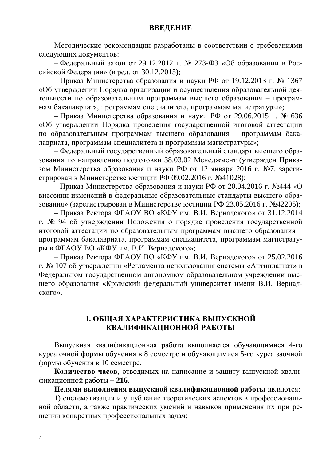<span id="page-3-0"></span>Методические рекомендации разработаны в соответствии с требованиями следующих документов:

– Федеральный закон от 29.12.2012 г. № 273-ФЗ «Об образовании в Российской Федерации» (в ред. от 30.12.2015);

– Приказ Министерства образования и науки РФ от 19.12.2013 г. № 1367 «Об утверждении Порядка организации и осуществления образовательной деятельности по образовательным программам высшего образования – программам бакалавриата, программам специалитета, программам магистратуры»;

– Приказ Министерства образования и науки РФ от 29.06.2015 г. № 636 «Об утверждении Порядка проведения государственной итоговой аттестации по образовательным программам высшего образования – программам бакалавриата, программам специалитета и программам магистратуры»;

– Федеральный государственный образовательный стандарт высшего образования по направлению подготовки 38.03.02 Менеджмент (утвержден Приказом Министерства образования и науки РФ от 12 января 2016 г. №7, зарегистрирован в Министерстве юстиции РФ 09.02.2016 г. №41028);

– Приказ Министерства образования и науки РФ от 20.04.2016 г. №444 «О внесении изменений в федеральные образовательные стандарты высшего образования» (зарегистрирован в Министерстве юстиции РФ 23.05.2016 г. №42205);

– Приказ Ректора ФГАОУ ВО «КФУ им. В.И. Вернадского» от 31.12.2014 г. № 94 об утверждении Положения о порядке проведения государственной итоговой аттестации по образовательным программам высшего образования программам бакалавриата, программам специалитета, программам магистратуры в ФГАОУ ВО «КФУ им. В.И. Вернадского»;

– Приказ Ректора ФГАОУ ВО «КФУ им. В.И. Вернадского» от 25.02.2016 г. № 107 об утверждении «Регламента использования системы «Антиплагиат» в Федеральном государственном автономном образовательном учреждении высшего образования «Крымский федеральный университет имени В.И. Вернад- $CKOFO.$ 

# <span id="page-3-1"></span>1. ОБЩАЯ ХАРАКТЕРИСТИКА ВЫПУСКНОЙ КВАЛИФИКАЦИОННОЙ РАБОТЫ

Выпускная квалификационная работа выполняется обучающимися 4-го курса очной формы обучения в 8 семестре и обучающимися 5-го курса заочной формы обучения в 10 семестре.

Количество часов, отводимых на написание и защиту выпускной квалификационной работы - 216.

Целями выполнения выпускной квалификационной работы являются:

1) систематизация и углубление теоретических аспектов в профессиональной области, а также практических умений и навыков применения их при решении конкретных профессиональных задач;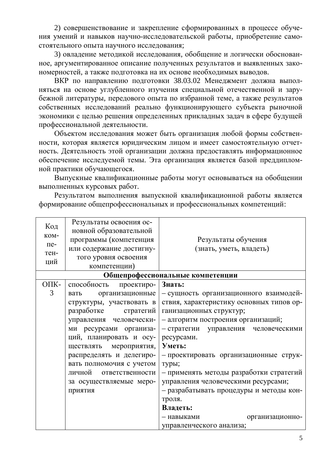2) совершенствование и закрепление сформированных в процессе обучения умений и навыков научно-исследовательской работы, приобретение самостоятельного опыта научного исследования;

3) овладение методикой исследования, обобщение и логически обоснованное, аргументированное описание полученных результатов и выявленных закономерностей, а также подготовка на их основе необходимых выводов.

ВКР по направлению подготовки 38.03.02 Менеджмент должна выполняться на основе углубленного изучения специальной отечественной и зарубежной литературы, передового опыта по избранной теме, а также результатов собственных исследований реально функционирующего субъекта рыночной экономики с целью решения определенных прикладных задач в сфере будущей профессиональной деятельности.

Объектом исследования может быть организация любой формы собственности, которая является юридическим лицом и имеет самостоятельную отчетность. Деятельность этой организации должна предоставлять информационное обеспечение исследуемой темы. Эта организация является базой преддипломной практики обучающегося.

Выпускные квалификационные работы могут основываться на обобщении выполненных курсовых работ.

Результатом выполнения выпускной квалификационной работы является формирование общепрофессиональных и профессиональных компетенций:

| Код<br>KOM-<br>$\pi$ e-<br>тен-<br>ций | Результаты освоения ос-<br>новной образовательной<br>программы (компетенция<br>или содержание достигну-<br>того уровня освоения<br>компетенции) | Результаты обучения<br>(знать, уметь, владеть) |
|----------------------------------------|-------------------------------------------------------------------------------------------------------------------------------------------------|------------------------------------------------|
|                                        |                                                                                                                                                 | Общепрофессиональные компетенции               |
| OIIK-                                  | способность<br>проектиро-                                                                                                                       | Знать:                                         |
| 3                                      | организационные<br>вать                                                                                                                         | - сущность организационного взаимодей-         |
|                                        | структуры, участвовать в                                                                                                                        | ствия, характеристику основных типов ор-       |
|                                        | разработке<br>стратегий                                                                                                                         | ганизационных структур;                        |
|                                        | управления человечески-                                                                                                                         | - алгоритм построения организаций;             |
|                                        | ми ресурсами организа-                                                                                                                          | - стратегии управления человеческими           |
|                                        | ций, планировать и осу-                                                                                                                         | ресурсами.                                     |
|                                        | мероприятия,<br>ществлять                                                                                                                       | Уметь:                                         |
|                                        | распределять и делегиро-                                                                                                                        | - проектировать организационные струк-         |
|                                        | вать полномочия с учетом                                                                                                                        | туры;                                          |
|                                        | личной<br>ответственности                                                                                                                       | - применять методы разработки стратегий        |
|                                        | за осуществляемые меро-                                                                                                                         | управления человеческими ресурсами;            |
|                                        | приятия                                                                                                                                         | - разрабатывать процедуры и методы кон-        |
|                                        |                                                                                                                                                 | троля.                                         |
|                                        |                                                                                                                                                 | Владеть:                                       |
|                                        |                                                                                                                                                 | - навыками<br>организационно-                  |
|                                        |                                                                                                                                                 | управленческого анализа;                       |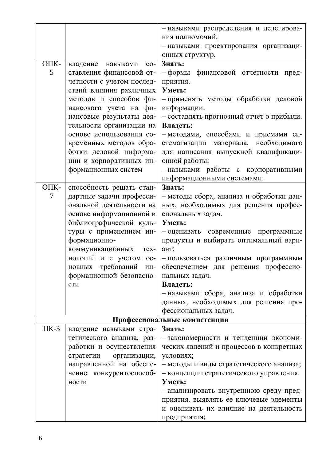|           |                               | - навыками распределения и делегирова-   |
|-----------|-------------------------------|------------------------------------------|
|           |                               | ния полномочий;                          |
|           |                               | - навыками проектирования организаци-    |
|           |                               | онных структур.                          |
| OПК-      | владение<br>навыками<br>$CO-$ | Знать:                                   |
| 5         | ставления финансовой от-      | - формы финансовой отчетности пред-      |
|           | четности с учетом послед-     | приятия.                                 |
|           | ствий влияния различных       | Уметь:                                   |
|           | методов и способов фи-        | - применять методы обработки деловой     |
|           | нансового учета на фи-        | информации.                              |
|           | нансовые результаты дея-      | - составлять прогнозный отчет о прибыли. |
|           | тельности организации на      | Владеть:                                 |
|           | основе использования со-      | - методами, способами и приемами си-     |
|           | временных методов обра-       | стематизации материала, необходимого     |
|           | ботки деловой информа-        | для написания выпускной квалификаци-     |
|           | ции и корпоративных ин-       | онной работы;                            |
|           | формационных систем           | - навыками работы с корпоративными       |
|           |                               | информационными системами.               |
| OПК-      | способность решать стан-      | Знать:                                   |
| 7         | дартные задачи професси-      | - методы сбора, анализа и обработки дан- |
|           | ональной деятельности на      | ных, необходимых для решения профес-     |
|           | основе информационной и       | сиональных задач.                        |
|           | библиографической куль-       | Уметь:                                   |
|           | туры с применением ин-        | - оценивать современные программные      |
|           | формационно-                  | продукты и выбирать оптимальный вари-    |
|           | коммуникационных<br>Tex-      | ант;                                     |
|           | нологий и с учетом ос-        | - пользоваться различным программным     |
|           | новных требований ин-         | обеспечением для решения профессио-      |
|           | формационной безопасно-       | нальных задач.                           |
|           | сти                           | Владеть:                                 |
|           |                               | – навыками сбора, анализа и обработки    |
|           |                               | данных, необходимых для решения про-     |
|           |                               | фессиональных задач.                     |
|           |                               | Профессиональные компетенции             |
| $\Pi K-3$ | владение навыками стра-       | Знать:                                   |
|           | тегического анализа, раз-     | - закономерности и тенденции экономи-    |
|           | работки и осуществления       | ческих явлений и процессов в конкретных  |
|           | организации,<br>стратегии     | условиях;                                |
|           | направленной на обеспе-       | - методы и виды стратегического анализа; |
|           | чение конкурентоспособ-       | - концепции стратегического управления.  |
|           | ности                         | Уметь:                                   |
|           |                               | - анализировать внутреннюю среду пред-   |
|           |                               | приятия, выявлять ее ключевые элементы   |
|           |                               | и оценивать их влияние на деятельность   |
|           |                               | предприятия;                             |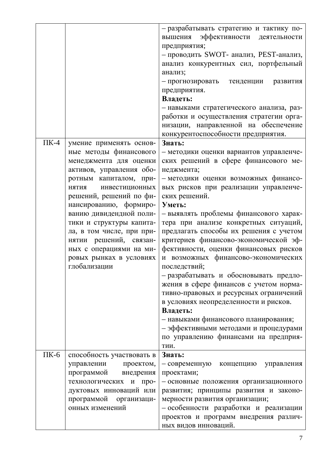|           |                                                                                                                                                                                                            | - разрабатывать стратегию и тактику по-<br>эффективности<br>деятельности<br>вышения<br>предприятия;<br>- проводить SWOT- анализ, PEST-анализ,<br>анализ конкурентных сил, портфельный<br>анализ;<br>- прогнозировать тенденции<br>развития<br>предприятия.<br>Владеть:<br>- навыками стратегического анализа, раз-<br>работки и осуществления стратегии орга-<br>низации, направленной на обеспечение<br>конкурентоспособности предприятия.                     |
|-----------|------------------------------------------------------------------------------------------------------------------------------------------------------------------------------------------------------------|-----------------------------------------------------------------------------------------------------------------------------------------------------------------------------------------------------------------------------------------------------------------------------------------------------------------------------------------------------------------------------------------------------------------------------------------------------------------|
| $\Pi K-4$ | умение применять основ-                                                                                                                                                                                    | Знать:                                                                                                                                                                                                                                                                                                                                                                                                                                                          |
|           | ные методы финансового<br>менеджмента для оценки<br>активов, управления обо-                                                                                                                               | - методики оценки вариантов управленче-<br>ских решений в сфере финансового ме-<br>неджмента;                                                                                                                                                                                                                                                                                                                                                                   |
|           | ротным капиталом, при-<br>инвестиционных<br><b>КНТКН</b>                                                                                                                                                   | - методики оценки возможных финансо-<br>вых рисков при реализации управленче-                                                                                                                                                                                                                                                                                                                                                                                   |
|           | решений, решений по фи-                                                                                                                                                                                    | ских решений.                                                                                                                                                                                                                                                                                                                                                                                                                                                   |
|           | нансированию, формиро-<br>ванию дивидендной поли-<br>тики и структуры капита-<br>ла, в том числе, при при-<br>нятии решений, связан-<br>ных с операциями на ми-<br>ровых рынках в условиях<br>глобализации | Уметь:<br>- выявлять проблемы финансового харак-<br>тера при анализе конкретных ситуаций,<br>предлагать способы их решения с учетом<br>критериев финансово-экономической эф-<br>фективности, оценки финансовых рисков<br>и возможных финансово-экономических<br>последствий;<br>- разрабатывать и обосновывать предло-<br>жения в сфере финансов с учетом норма-<br>тивно-правовых и ресурсных ограничений<br>в условиях неопределенности и рисков.<br>Владеть: |
|           |                                                                                                                                                                                                            | - навыками финансового планирования;<br>- эффективными методами и процедурами<br>по управлению финансами на предприя-                                                                                                                                                                                                                                                                                                                                           |
|           |                                                                                                                                                                                                            | тии.                                                                                                                                                                                                                                                                                                                                                                                                                                                            |
| $\Pi K-6$ | способность участвовать в<br>управлении<br>проектом,                                                                                                                                                       | Знать:<br>- современную концепцию управления                                                                                                                                                                                                                                                                                                                                                                                                                    |
|           | программой<br>внедрения                                                                                                                                                                                    | проектами;                                                                                                                                                                                                                                                                                                                                                                                                                                                      |
|           | технологических и про-                                                                                                                                                                                     | - основные положения организационного                                                                                                                                                                                                                                                                                                                                                                                                                           |
|           | дуктовых инноваций или                                                                                                                                                                                     | развития; принципы развития и законо-                                                                                                                                                                                                                                                                                                                                                                                                                           |
|           | программой организаци-<br>онных изменений                                                                                                                                                                  | мерности развития организации;<br>- особенности разработки и реализации                                                                                                                                                                                                                                                                                                                                                                                         |
|           |                                                                                                                                                                                                            | проектов и программ внедрения различ-                                                                                                                                                                                                                                                                                                                                                                                                                           |
|           |                                                                                                                                                                                                            | ных видов инноваций.                                                                                                                                                                                                                                                                                                                                                                                                                                            |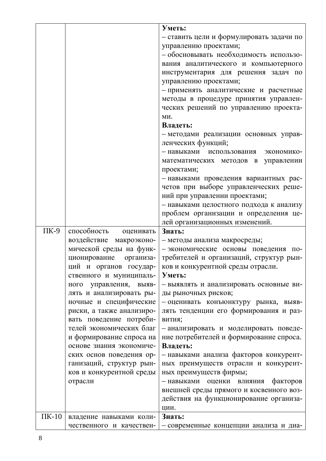|            |                            | Уметь:                                   |
|------------|----------------------------|------------------------------------------|
|            |                            | – ставить цели и формулировать задачи по |
|            |                            | управлению проектами;                    |
|            |                            | - обосновывать необходимость использо-   |
|            |                            | вания аналитического и компьютерного     |
|            |                            | инструментария для решения задач по      |
|            |                            | управлению проектами;                    |
|            |                            | - применять аналитические и расчетные    |
|            |                            | методы в процедуре принятия управлен-    |
|            |                            | ческих решений по управлению проекта-    |
|            |                            | ми.                                      |
|            |                            | Владеть:                                 |
|            |                            | - методами реализации основных управ-    |
|            |                            | ленческих функций;                       |
|            |                            | - навыками использования экономико-      |
|            |                            | математических методов в управлении      |
|            |                            | проектами;                               |
|            |                            | - навыками проведения вариантных рас-    |
|            |                            | четов при выборе управленческих реше-    |
|            |                            | ний при управлении проектами;            |
|            |                            | - навыками целостного подхода к анализу  |
|            |                            | проблем организации и определения це-    |
|            |                            | лей организационных изменений.           |
|            |                            |                                          |
| $\Pi K-9$  | способность<br>оценивать   | Знать:                                   |
|            | воздействие<br>макроэконо- | - методы анализа макросреды;             |
|            | мической среды на функ-    | - экономические основы поведения по-     |
|            | ционирование организа-     | требителей и организаций, структур рын-  |
|            | ций и органов государ-     | ков и конкурентной среды отрасли.        |
|            | ственного и муниципаль-    | Уметь:                                   |
|            | ного управления, выяв-     | - выявлять и анализировать основные ви-  |
|            | лять и анализировать ры-   | ды рыночных рисков;                      |
|            | ночные и специфические     | - оценивать конъюнктуру рынка, выяв-     |
|            | риски, а также анализиро-  | лять тенденции его формирования и раз-   |
|            | вать поведение потреби-    | вития;                                   |
|            | телей экономических благ   | - анализировать и моделировать поведе-   |
|            | и формирование спроса на   | ние потребителей и формирование спроса.  |
|            | основе знания экономиче-   | Владеть:                                 |
|            | ских основ поведения ор-   | - навыками анализа факторов конкурент-   |
|            | ганизаций, структур рын-   | ных преимуществ отрасли и конкурент-     |
|            | ков и конкурентной среды   | ных преимуществ фирмы;                   |
|            | отрасли                    | – навыками оценки влияния факторов       |
|            |                            | внешней среды прямого и косвенного воз-  |
|            |                            | действия на функционирование организа-   |
|            |                            | ции.                                     |
| $\Pi$ K-10 | владение навыками коли-    | Знать:                                   |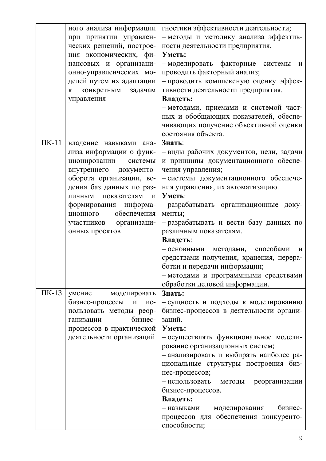|            | ного анализа информации                             | гностики эффективности деятельности;     |
|------------|-----------------------------------------------------|------------------------------------------|
|            | при принятии управлен-                              | - методы и методику анализа эффектив-    |
|            | ческих решений, построе-                            | ности деятельности предприятия.          |
|            | ния экономических, фи-                              | Уметь:                                   |
|            | нансовых и организаци-                              | - моделировать факторные системы<br>И    |
|            | онно-управленческих мо-                             | проводить факторный анализ;              |
|            | делей путем их адаптации                            | - проводить комплексную оценку эффек-    |
|            | конкретным<br>задачам<br>$\mathbf K$                | тивности деятельности предприятия.       |
|            | управления                                          | Владеть:                                 |
|            |                                                     | - методами, приемами и системой част-    |
|            |                                                     | ных и обобщающих показателей, обеспе-    |
|            |                                                     | чивающих получение объективной оценки    |
|            |                                                     | состояния объекта.                       |
| $\Pi$ K-11 | владение навыками ана-                              | Знать:                                   |
|            | лиза информации о функ-                             | - виды рабочих документов, цели, задачи  |
|            | ционировании<br>системы                             | и принципы документационного обеспе-     |
|            | внутреннего документо-                              | чения управления;                        |
|            | оборота организации, ве-                            | - системы документационного обеспече-    |
|            | дения баз данных по раз-                            | ния управления, их автоматизацию.        |
|            | личным показателям<br>$\mathbf{M}$                  | Уметь:                                   |
|            | формирования информа-                               | – разрабатывать организационные<br>доку- |
|            | обеспечения<br>ЦИОННОГО                             | менты;                                   |
|            | участников организаци-                              | - разрабатывать и вести базу данных по   |
|            | онных проектов                                      | различным показателям.                   |
|            |                                                     | Владеть:                                 |
|            |                                                     | – основными методами, способами<br>И     |
|            |                                                     | средствами получения, хранения, перера-  |
|            |                                                     | ботки и передачи информации;             |
|            |                                                     | - методами и программными средствами     |
|            |                                                     | обработки деловой информации.            |
| $\Pi$ K-13 | умение<br>моделировать                              | Знать:                                   |
|            | бизнес-процессы<br>$\boldsymbol{\mathit{M}}$<br>ис- | - сущность и подходы к моделированию     |
|            | пользовать методы реор-                             | бизнес-процессов в деятельности органи-  |
|            | бизнес-<br>ганизации                                | заций.                                   |
|            | процессов в практической                            | Уметь:                                   |
|            | деятельности организаций                            | - осуществлять функциональное модели-    |
|            |                                                     | рование организационных систем;          |
|            |                                                     | - анализировать и выбирать наиболее ра-  |
|            |                                                     | циональные структуры построения биз-     |
|            |                                                     | нес-процессов;                           |
|            |                                                     | - использовать методы<br>реорганизации   |
|            |                                                     | бизнес-процессов.                        |
|            |                                                     | Владеть:                                 |
|            |                                                     | бизнес-<br>– навыками<br>моделирования   |
|            |                                                     | процессов для обеспечения конкуренто-    |
|            |                                                     | способности;                             |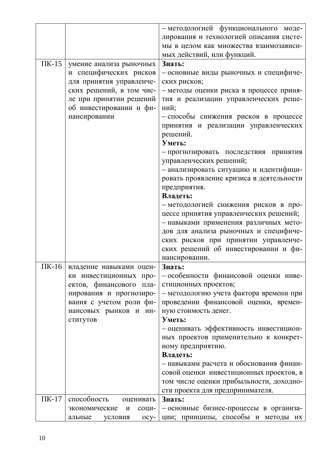|            |                                 | - методологией функционального моде-<br>лирования и технологией описания систе- |
|------------|---------------------------------|---------------------------------------------------------------------------------|
|            |                                 | мы в целом как множества взаимозависи-                                          |
|            |                                 | мых действий, или функций.                                                      |
| $\Pi$ K-15 | умение анализа рыночных         | Знать:                                                                          |
|            | и специфических рисков          | - основные виды рыночных и специфиче-                                           |
|            |                                 |                                                                                 |
|            | для принятия управленче-        | ских рисков;                                                                    |
|            | ских решений, в том чис-        | - методы оценки риска в процессе приня-                                         |
|            | ле при принятии решений         | тия и реализации управленческих реше-                                           |
|            | об инвестировании и фи-         | ний;                                                                            |
|            | нансировании                    | - способы снижения рисков в процессе                                            |
|            |                                 | принятия и реализации управленческих                                            |
|            |                                 | решений.                                                                        |
|            |                                 | Уметь:                                                                          |
|            |                                 | - прогнозировать последствия принятия                                           |
|            |                                 | управленческих решений;                                                         |
|            |                                 | - анализировать ситуацию и идентифици-                                          |
|            |                                 | ровать проявление кризиса в деятельности                                        |
|            |                                 | предприятия.                                                                    |
|            |                                 | Владеть:                                                                        |
|            |                                 | - методологией снижения рисков в про-                                           |
|            |                                 | цессе принятия управленческих решений;                                          |
|            |                                 | - навыками применения различных мето-                                           |
|            |                                 | дов для анализа рыночных и специфиче-                                           |
|            |                                 | ских рисков при принятии управленче-                                            |
|            |                                 | ских решений об инвестировании и фи-                                            |
|            |                                 | нансировании.                                                                   |
|            | ПК-16   владение навыками оцен- | Знать:                                                                          |
|            | ки инвестиционных про-          | - особенности финансовой оценки инве-                                           |
|            | ектов, финансового пла-         | стиционных проектов;                                                            |
|            | нирования и прогнозиро-         | - методологию учета фактора времени при                                         |
|            | вания с учетом роли фи-         | проведении финансовой оценки, времен-                                           |
|            | нансовых рынков и ин-           | ную стоимость денег.                                                            |
|            | ститутов                        | Уметь:                                                                          |
|            |                                 | - оценивать эффективность инвестицион-                                          |
|            |                                 | ных проектов применительно к конкрет-                                           |
|            |                                 | ному предприятию.                                                               |
|            |                                 | Владеть:                                                                        |
|            |                                 | - навыками расчета и обоснования финан-                                         |
|            |                                 | совой оценки инвестиционных проектов, в                                         |
|            |                                 |                                                                                 |
|            |                                 | том числе оценки прибыльности, доходно-                                         |
|            |                                 | сти проекта для предпринимателя.                                                |
| $\Pi K-17$ | способность<br>оценивать        | Знать:                                                                          |
|            | соци-<br>экономические<br>И     | - основные бизнес-процессы в организа-                                          |
|            | условия<br>$ocy-$<br>альные     | ции; принципы, способы и методы их                                              |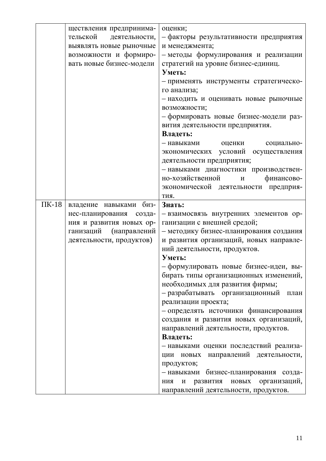|            | ществления предпринима-                               | оценки;                                                               |
|------------|-------------------------------------------------------|-----------------------------------------------------------------------|
|            | тельской<br>деятельности,                             | - факторы результативности предприятия                                |
|            | выявлять новые рыночные                               | и менеджмента;                                                        |
|            | возможности и формиро-                                | - методы формулирования и реализации                                  |
|            | вать новые бизнес-модели                              | стратегий на уровне бизнес-единиц.                                    |
|            |                                                       | Уметь:                                                                |
|            |                                                       | - применять инструменты стратегическо-                                |
|            |                                                       | го анализа;                                                           |
|            |                                                       | - находить и оценивать новые рыночные                                 |
|            |                                                       | возможности;                                                          |
|            |                                                       | - формировать новые бизнес-модели раз-                                |
|            |                                                       | вития деятельности предприятия.                                       |
|            |                                                       | Владеть:                                                              |
|            |                                                       | – навыками<br>оценки<br>социально-                                    |
|            |                                                       | экономических условий осуществления                                   |
|            |                                                       | деятельности предприятия;                                             |
|            |                                                       | - навыками диагностики производствен-                                 |
|            |                                                       | но-хозяйственной<br>финансово-<br>$\boldsymbol{\mathit{H}}$           |
|            |                                                       | экономической деятельности предприя-                                  |
|            |                                                       | тия.                                                                  |
| $\Pi K-18$ | владение навыками биз-                                | Знать:                                                                |
|            | нес-планирования<br>созда-                            | - взаимосвязь внутренних элементов ор-<br>ганизации с внешней средой; |
|            | ния и развития новых ор-<br>ганизаций<br>(направлений | - методику бизнес-планирования создания                               |
|            | деятельности, продуктов)                              | и развития организаций, новых направле-                               |
|            |                                                       | ний деятельности, продуктов.                                          |
|            |                                                       | Уметь:                                                                |
|            |                                                       | - формулировать новые бизнес-идеи, вы-                                |
|            |                                                       | бирать типы организационных изменений,                                |
|            |                                                       | необходимых для развития фирмы;                                       |
|            |                                                       | - разрабатывать организационный<br>план                               |
|            |                                                       | реализации проекта;                                                   |
|            |                                                       | - определять источники финансирования                                 |
|            |                                                       | создания и развития новых организаций,                                |
|            |                                                       | направлений деятельности, продуктов.                                  |
|            |                                                       | Владеть:                                                              |
|            |                                                       | - навыками оценки последствий реализа-                                |
|            |                                                       | ции новых направлений деятельности,                                   |
|            |                                                       | продуктов;                                                            |
|            |                                                       | - навыками бизнес-планирования созда-                                 |
|            |                                                       | развития новых организаций,<br>НИЯ<br>$\boldsymbol{\mathrm{M}}$       |
|            |                                                       | направлений деятельности, продуктов.                                  |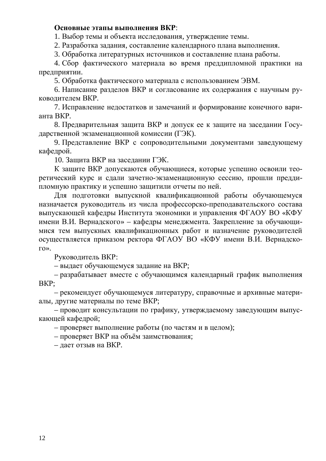### Основные этапы выполнения ВКР:

1. Выбор темы и объекта исследования, утверждение темы.

2. Разработка задания, составление календарного плана выполнения.

3. Обработка литературных источников и составление плана работы.

4. Сбор фактического материала во время преддипломной практики на предприятии.

5. Обработка фактического материала с использованием ЭВМ.

6. Написание разделов ВКР и согласование их содержания с научным руководителем ВКР.

7. Исправление недостатков и замечаний и формирование конечного варианта ВКР.

8. Предварительная защита ВКР и допуск ее к защите на заседании Государственной экзаменационной комиссии (ГЭК).

9. Представление ВКР с сопроводительными документами заведующему кафедрой.

10. Защита ВКР на заседании ГЭК.

К защите ВКР допускаются обучающиеся, которые успешно освоили теоретический курс и сдали зачетно-экзаменационную сессию, прошли преддипломную практику и успешно защитили отчеты по ней.

Для подготовки выпускной квалификационной работы обучающемуся назначается руководитель из числа профессорско-преподавательского состава выпускающей кафедры Института экономики и управления ФГАОУ ВО «КФУ имени В.И. Вернадского» – кафедры менеджмента. Закрепление за обучающимися тем выпускных квалификационных работ и назначение руководителей осуществляется приказом ректора ФГАОУ ВО «КФУ имени В.И. Вернадско-Γ0».

Руководитель ВКР:

– выдает обучающемуся задание на ВКР;

- разрабатывает вместе с обучающимся календарный график выполнения BKP;

– рекомендует обучающемуся литературу, справочные и архивные материалы, другие материалы по теме ВКР;

– проводит консультации по графику, утверждаемому заведующим выпускающей кафедрой;

– проверяет выполнение работы (по частям и в целом);

– проверяет ВКР на объём заимствования;

– дает отзыв на ВКР.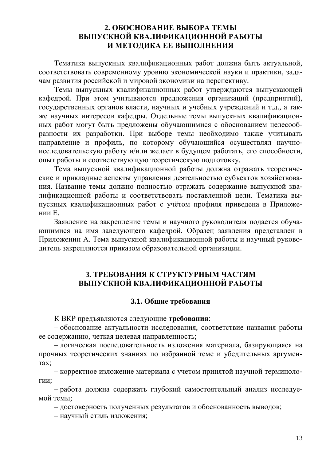# <span id="page-12-0"></span>**2. ОБОСНОВАНИЕ ВЫБОРА ТЕМЫ ВЫПУСКНОЙ КВАЛИФИКАПИОННОЙ РАБОТЫ** И МЕТОЛИКА ЕЕ ВЫПОЛНЕНИЯ

Тематика выпускных квалификационных работ должна быть актуальной, соответствовать современному уровню экономической науки и практики, задачам развития российской и мировой экономики на перспективу.

Темы выпускных квалификационных работ утверждаются выпускающей кафедрой. При этом учитываются предложения организаций (предприятий), государственных органов власти, научных и учебных учреждений и т.д., а также научных интересов кафедры. Отдельные темы выпускных квалификационных работ могут быть предложены обучающимися с обоснованием целесообразности их разработки. При выборе темы необходимо также учитывать направление и профиль, по которому обучающийся осуществлял научноисследовательскую работу и/или желает в будущем работать, его способности, опыт работы и соответствующую теоретическую подготовку.

Тема выпускной квалификационной работы должна отражать теоретические и прикладные аспекты управления деятельностью субъектов хозяйствования. Название темы должно полностью отражать содержание выпускной квалификационной работы и соответствовать поставленной цели. Тематика выпускных квалификационных работ с учётом профиля приведена в Приложении Е.

Заявление на закрепление темы и научного руководителя подается обучающимися на имя заведующего кафедрой. Образец заявления представлен в Приложении А. Тема выпускной квалификационной работы и научный руководитель закрепляются приказом образовательной организации.

# <span id="page-12-1"></span>**3. ТРЕБОВАНИЯ К СТРУКТУРНЫМ ЧАСТЯМ ВЫПУСКНОЙ КВАЛИФИКАЦИОННОЙ РАБОТЫ**

# <span id="page-12-2"></span>3.1. Общие требования

К ВКР предъявляются следующие требования:

- обоснование актуальности исследования, соответствие названия работы ее содержанию, четкая целевая направленность;

– логическая последовательность изложения материала, базирующаяся на прочных теоретических знаниях по избранной теме и убедительных аргумен-Tax:

– корректное изложение материала с учетом принятой научной терминологии:

- работа должна содержать глубокий самостоятельный анализ исследуемой темы;

- достоверность полученных результатов и обоснованность выводов;

– научный стиль изложения;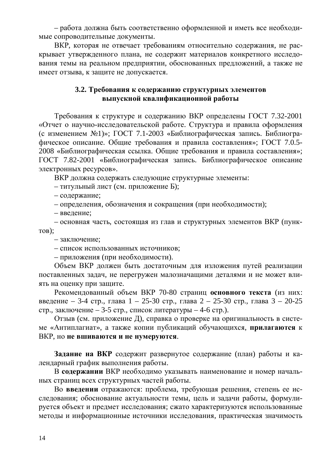– работа должна быть соответственно оформленной и иметь все необходимые сопроводительные документы.

ВКР, которая не отвечает требованиям относительно содержания, не раскрывает утвержденного плана, не содержит материалов конкретного исследования темы на реальном предприятии, обоснованных предложений, а также не имеет отзыва, к защите не допускается.

# <span id="page-13-0"></span>3.2. Требования к содержанию структурных элементов **выпускной квалификационной работы**

Требования к структуре и содержанию ВКР определены ГОСТ 7.32-2001 «Отчет о научно-исследовательской работе. Структура и правила оформления (с изменением №1)»; ГОСТ 7.1-2003 «Библиографическая запись. Библиографическое описание. Общие требования и правила составления»; ГОСТ 7.0.5-2008 «Библиографическая ссылка. Общие требования и правила составления»; ГОСТ 7.82-2001 «Библиографическая запись. Библиографическое описание электронных ресурсов».

ВКР должна содержать следующие структурные элементы:

– титульный лист (см. приложение Б);

– содержание:

– определения, обозначения и сокращения (при необходимости);

– введение;

– основная часть, состоящая из глав и структурных элементов ВКР (пунк-TOB);

– заключение;

– список использованных источников;

– приложения (при необходимости).

Объем ВКР должен быть достаточным для изложения путей реализации поставленных задач, не перегружен малозначащими деталями и не может влиять на оценку при защите.

Рекомендованный объем ВКР 70-80 страниц **основного текста** (из них: введение – 3-4 стр., глава 1 – 25-30 стр., глава 2 – 25-30 стр., глава 3 – 20-25 стр., заключение – 3-5 стр., список литературы – 4-6 стр.).

Отзыв (см. приложение Д), справка о проверке на оригинальность в системе «Антиплагиат», а также копии публикаций обучающихся, **прилагаются** к **ВКР**, но не вшиваются и не нумеруются.

Задание на ВКР содержит развернутое содержание (план) работы и календарный график выполнения работы.

В содержании ВКР необходимо указывать наименование и номер начальных страниц всех структурных частей работы.

Во введении отражаются: проблема, требующая решения, степень ее исследования; обоснование актуальности темы, цель и задачи работы, формулируется объект и предмет исследования; сжато характеризуются использованные методы и информационные источники исследования, практическая значимость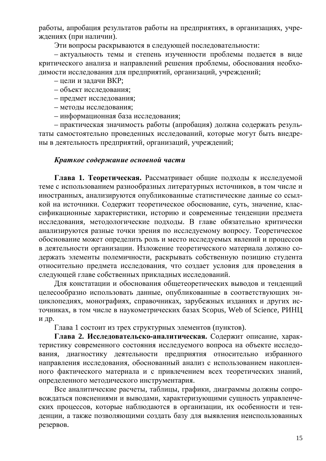работы, апробация результатов работы на предприятиях, в организациях, учреждениях (при наличии).

Эти вопросы раскрываются в следующей последовательности:

– актуальность темы и степень изученности проблемы подается в виде критического анализа и направлений решения проблемы, обоснования необходимости исследования для предприятий, организаций, учреждений;

- цели и задачи ВКР;
- объект исследования;
- предмет исследования;

- методы исследования;

– информационная база исследования;

– практическая значимость работы (апробация) должна содержать результаты самостоятельно проведенных исследований, которые могут быть внедрены в деятельность предприятий, организаций, учреждений;

### **Краткое содержание основной части**

Глава 1. Теоретическая. Рассматривает общие подходы к исследуемой теме с использованием разнообразных литературных источников, в том числе и иностранных, анализируются опубликованные статистические данные со ссылкой на источники. Содержит теоретическое обоснование, суть, значение, классификационные характеристики, историю и современные тенденции предмета исследования, методологические подходы. В главе обязательно критически анализируются разные точки зрения по исследуемому вопросу. Теоретическое обоснование может определить роль и место исследуемых явлений и процессов в деятельности организации. Изложение теоретического материала должно содержать элементы полемичности, раскрывать собственную позицию студента относительно предмета исследования, что создает условия для проведения в следующей главе собственных прикладных исследований.

Для констатации и обоснования общетеоретических выводов и тенденций целесообразно использовать данные, опубликованные в соответствующих энциклопедиях, монографиях, справочниках, зарубежных изданиях и других источниках, в том числе в наукометрических базах Scopus, Web of Science, РИНЦ и др.

Глава 1 состоит из трех структурных элементов (пунктов).

Глава 2. Исследовательско-аналитическая. Содержит описание, характеристику современного состояния исследуемого вопроса на объекте исследования, диагностику деятельности предприятия относительно избранного направления исследования, обоснованный анализ с использованием накопленного фактического материала и с привлечением всех теоретических знаний, определенного методического инструментария.

Все аналитические расчеты, таблицы, графики, диаграммы должны сопровождаться пояснениями и выводами, характеризующими сущность управленческих процессов, которые наблюдаются в организации, их особенности и тенденции, а также позволяющими создать базу для выявления неиспользованных резервов.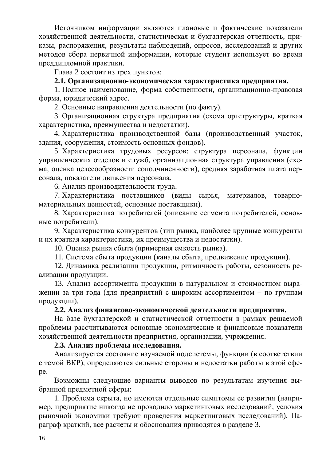Источником информации являются плановые и фактические показатели хозяйственной деятельности, статистическая и бухгалтерская отчетность, приказы, распоряжения, результаты наблюдений, опросов, исследований и других методов сбора первичной информации, которые студент использует во время преддипломной практики.

Глава 2 состоит из трех пунктов:

## 2.1. Организационно-экономическая характеристика предприятия.

1. Полное наименование, форма собственности, организационно-правовая форма, юридический адрес.

2. Основные направления деятельности (по факту).

3. Организационная структура предприятия (схема оргструктуры, краткая характеристика, преимущества и недостатки).

4. Характеристика производственной базы (производственный участок, здания, сооружения, стоимость основных фондов).

5. Характеристика трудовых ресурсов: структура персонала, функции управленческих отделов и служб, организационная структура управления (схема, оценка целесообразности соподчиненности), средняя заработная плата персонала, показатели движения персонала.

6. Анализ производительности труда.

7. Характеристика поставщиков (виды сырья, материалов, товарноматериальных ценностей, основные поставщики).

8. Характеристика потребителей (описание сегмента потребителей, основные потребители).

9. Характеристика конкурентов (тип рынка, наиболее крупные конкуренты и их краткая характеристика, их преимущества и недостатки).

10. Оценка рынка сбыта (примерная емкость рынка).

11. Система сбыта продукции (каналы сбыта, продвижение продукции).

12. Динамика реализации продукции, ритмичность работы, сезонность реализации продукции.

13. Анализ ассортимента продукции в натуральном и стоимостном выражении за три года (для предприятий с широким ассортиментом – по группам продукции).

# 2.2. Анализ финансово-экономической деятельности предприятия.

На базе бухгалтерской и статистической отчетности в рамках решаемой проблемы рассчитываются основные экономические и финансовые показатели хозяйственной деятельности предприятия, организации, учреждения.

### 2.3. Анализ проблемы исследования.

Анализируется состояние изучаемой подсистемы, функции (в соответствии с темой ВКР), определяются сильные стороны и недостатки работы в этой сфеpe.

Возможны следующие варианты выводов по результатам изучения выбранной предметной сферы:

1. Проблема скрыта, но имеются отдельные симптомы ее развития (например, предприятие никогда не проводило маркетинговых исследований, условия рыночной экономики требуют проведения маркетинговых исследований). Параграф краткий, все расчеты и обоснования приводятся в разделе 3.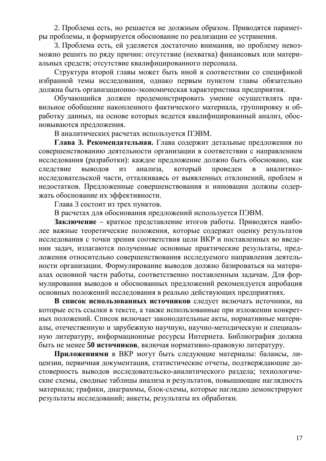2. Проблема есть, но решается не должным образом. Приводятся параметры проблемы, и формируется обоснование по реализации ее устранения.

3. Проблема есть, ей уделяется достаточно внимания, но проблему невозможно решить по ряду причин: отсутствие (нехватка) финансовых или материальных средств; отсутствие квалифицированного персонала.

Структура второй главы может быть иной в соответствии со спецификой избранной темы исследования, однако первым пунктом главы обязательно должна быть организационно-экономическая характеристика предприятия.

Обучающийся должен продемонстрировать умение осуществлять правильное обобщение накопленного фактического материала, группировку и обработку данных, на основе которых ведется квалифицированный анализ, обосновываются предложения.

В аналитических расчетах используется ПЭВМ.

Глава 3. Рекомендательная. Глава содержит детальные предложения по совершенствованию деятельности организации в соответствии с направлением исследования (разработки): каждое предложение должно быть обосновано, как следствие выводов из анализа, который проведен в аналитикоисследовательской части, отталкиваясь от выявленных отклонений, проблем и недостатков. Предложенные совершенствования и инновации должны содержать обоснование их эффективности.

Глава 3 состоит из трех пунктов.

В расчетах для обоснования предложений используется ПЭВМ.

Заключение – краткое представление итогов работы. Приводятся наиболее важные теоретические положения, которые содержат оценку результатов исследования с точки зрения соответствия цели ВКР и поставленных во введении задач, излагаются полученные основные практические результаты, предложения относительно совершенствования исследуемого направления деятельности организации. Формулирование выводов должно базироваться на материалах основной части работы, соответственно поставленным задачам. Для формулирования выводов и обоснованных предложений рекомендуется апробация основных положений исследования в реально действующих предприятиях.

В список использованных источников следует включать источники, на которые есть ссылки в тексте, а также использованные при изложении конкретных положений. Список включает законодательные акты, нормативные материалы, отечественную и зарубежную научную, научно-методическую и специальную литературу, информационные ресурсы Интернета. Библиография должна быть не менее **50 источников**, включая нормативно-правовую литературу.

Приложениями в ВКР могут быть следующие материалы: балансы, лицензии, первичная документация, статистические отчеты, подтверждающие достоверность выводов исследовательско-аналитического раздела; технологические схемы, сводные таблицы анализа и результатов, повышающие наглядность материала; графики, диаграммы, блок-схемы, которые наглядно демонстрируют результаты исследований; анкеты, результаты их обработки.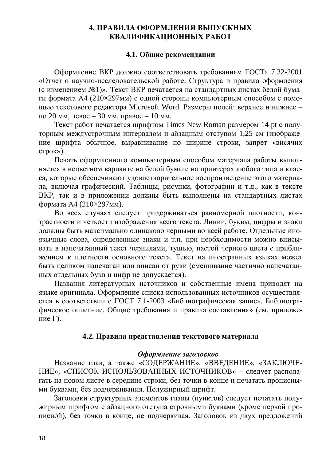## <span id="page-17-0"></span>**4. ПРАВИЛА ОФОРМЛЕНИЯ ВЫПУСКНЫХ** КВАЛИФИКАШИОННЫХ РАБОТ

### <span id="page-17-1"></span>4.1. Общие рекомендации

Оформление ВКР должно соответствовать требованиям ГОСТа 7.32-2001 «Отчет о научно-исследовательской работе. Структура и правила оформления (с изменением №1)». Текст ВКР печатается на стандартных листах белой бумаги формата А4 (210×297мм) с одной стороны компьютерным способом с помощью текстового редактора Microsoft Word. Размеры полей: верхнее и нижнее – по 20 мм, левое – 30 мм, правое – 10 мм.

Текст работ печатается шрифтом Times New Roman размером 14 pt с полуторным междустрочным интервалом и абзацным отступом 1,25 см (изображение шрифта обычное, выравнивание по ширине строки, запрет «висячих  $c$ трок»).

Печать оформленного компьютерным способом материала работы выполняется в нецветном варианте на белой бумаге на принтерах любого типа и класса, которые обеспечивают удовлетворительное воспроизведение этого материала, включая графический. Таблицы, рисунки, фотографии и т.д., как в тексте ВКР, так и в приложении должны быть выполнены на стандартных листах формата А4 (210×297мм).

Во всех случаях следует придерживаться равномерной плотности, контрастности и четкости изображения всего текста. Линии, буквы, цифры и знаки должны быть максимально одинаково черными во всей работе. Отдельные иноязычные слова, определенные знаки и т.п. при необходимости можно вписывать в напечатанный текст чернилами, тушью, пастой черного цвета с приближением к плотности основного текста. Текст на иностранных языках может быть целиком напечатан или вписан от руки (смешивание частично напечатанных отдельных букв и цифр не допускается).

Названия литературных источников и собственные имена приводят на языке оригинала. Оформление списка использованных источников осуществляется в соответствии с ГОСТ 7.1-2003 «Библиографическая запись. Библиографическое описание. Общие требования и правила составления» (см. приложение  $\Gamma$ ).

### <span id="page-17-2"></span>4.2. Правила представления текстового материала

### **Оформление заголовков**

Название глав, а также «СОДЕРЖАНИЕ», «ВВЕДЕНИЕ», «ЗАКЛЮЧЕ-НИЕ», «СПИСОК ИСПОЛЬЗОВАННЫХ ИСТОЧНИКОВ» – следует располагать на новом листе в середине строки, без точки в конце и печатать прописными буквами, без подчеркивания. Полужирный шрифт.

Заголовки структурных элементов главы (пунктов) следует печатать полужирным шрифтом с абзацного отступа строчными буквами (кроме первой прописной), без точки в конце, не подчеркивая. Заголовок из двух предложений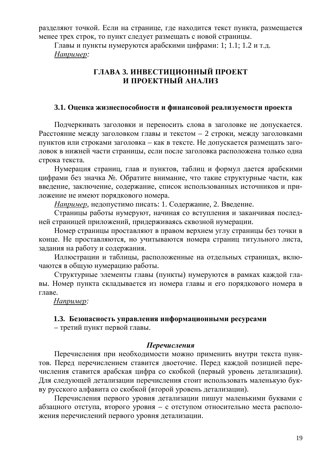разделяют точкой. Если на странице, где находится текст пункта, размещается менее трех строк, то пункт следует размещать с новой страницы.

Главы и пункты нумеруются арабскими цифрами: 1; 1.1; 1.2 и т.д. Hапример:

# ГЛАВА 3. ИНВЕСТИЦИОННЫЙ ПРОЕКТ И ПРОЕКТНЫЙ АНАЛИЗ

## 3.1. Оценка жизнеспособности и финансовой реализуемости проекта

Подчеркивать заголовки и переносить слова в заголовке не допускается. Расстояние между заголовком главы и текстом – 2 строки, между заголовками пунктов или строками заголовка – как в тексте. Не допускается размещать заголовок в нижней части страницы, если после заголовка расположена только одна строка текста.

Нумерация страниц, глав и пунктов, таблиц и формул дается арабскими цифрами без значка №. Обратите внимание, что такие структурные части, как введение, заключение, содержание, список использованных источников и приложение не имеют порядкового номера.

*Например*, недопустимо писать: 1. Содержание, 2. Введение.

Страницы работы нумеруют, начиная со вступления и заканчивая последней страницей приложений, придерживаясь сквозной нумерации.

Номер страницы проставляют в правом верхнем углу страницы без точки в конце. Не проставляются, но учитываются номера страниц титульного листа, задания на работу и содержания.

Иллюстрации и таблицы, расположенные на отдельных страницах, включаются в общую нумерацию работы.

Структурные элементы главы (пункты) нумеруются в рамках каждой главы. Номер пункта складывается из номера главы и его порядкового номера в главе.

**Например:** 

# 1.3. Безопасность управления информационными ресурсами

- третий пункт первой главы.

# *ɉɟɪɟɱɢɫɥɟɧɢɹ*

Перечисления при необходимости можно применить внутри текста пунктов. Перед перечислением ставится двоеточие. Перед каждой позицией перечисления ставится арабская цифра со скобкой (первый уровень детализации). Для следующей детализации перечисления стоит использовать маленькую букву русского алфавита со скобкой (второй уровень детализации).

Перечисления первого уровня детализации пишут маленькими буквами с абзацного отступа, второго уровня – с отступом относительно места расположения перечислений первого уровня детализации.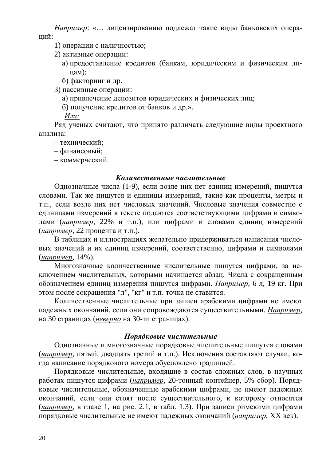*Например*: «... лицензированию подлежат такие виды банковских операший:

1) операции с наличностью;

- 2) активные операции:
	- а) предоставление кредитов (банкам, юридическим и физическим лицам);
	- б) факторинг и др.

3) пассивные операции:

а) привлечение депозитов юридических и физических лиц;

б) получение кредитов от банков и др.».

*Или:* 

Ряд ученых считают, что принято различать следующие виды проектного анализа:

– технический;

– финансовый;

– коммерческий.

#### *Ʉɨɥɢɱɟɫɬɜɟɧɧɵɟɱɢɫɥɢɬɟɥɶɧɵɟ*

Однозначные числа (1-9), если возле них нет единиц измерений, пишутся словами. Так же пишутся и единицы измерений, такие как проценты, метры и т.п., если возле них нет числовых значений. Числовые значения совместно с единицами измерений в тексте подаются соответствующими цифрами и симводами (например, 22% и т.п.), или цифрами и словами единиц измерений (*например*, 22 процента и т.п.).

В таблицах и иллюстрациях желательно придерживаться написания числовых значений и их единиц измерений, соответственно, цифрами и символами (*например*, 14%).

Многозначные количественные числительные пишутся цифрами, за исключением числительных, которыми начинается абзац. Числа с сокращенным обозначением единиц измерения пишутся цифрами. *Например*, 6 л, 19 кг. При этом после сокращения "л", "кг" и т.п. точка не ставится.

Количественные числительные при записи арабскими цифрами не имеют падежных окончаний, если они сопровождаются существительными. Например, на 30 страницах (неверно на 30-ти страницах).

### Порядковые числительные

Однозначные и многозначные порядковые числительные пишутся словами (*например*, пятый, двадцать третий и т.п.). Исключения составляют случаи, когда написание порядкового номера обусловлено традицией.

Порядковые числительные, входящие в состав сложных слов, в научных работах пишутся цифрами (*например*, 20-тонный контейнер, 5% сбор). Порядковые числительные, обозначенные арабскими цифрами, не имеют падежных окончаний, если они стоят после существительного, к которому относятся (*например*, в главе 1, на рис. 2.1, в табл. 1.3). При записи римскими цифрами порядковые числительные не имеют падежных окончаний (например, XX век).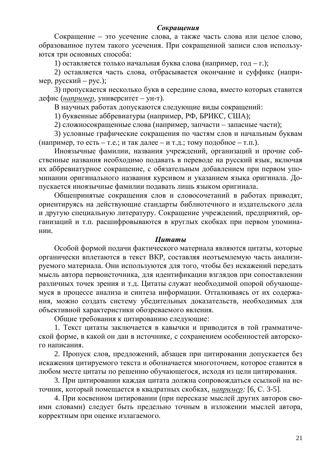### $Co$ *крашения*

Сокращение – это усечение слова, а также часть слова или целое слово, образованное путем такого усечения. При сокращенной записи слов используются три основных способа:

1) оставляется только начальная буква слова (например, год – г.);

2) оставляется часть слова, отбрасывается окончание и суффикс (например, русский – рус.);

3) пропускается несколько букв в середине слова, вместо которых ставится дефис (*например*, университет – ун-т).

В научных работах допускаются следующие виды сокращений:

1) буквенные аббревиатуры (например, РФ, БРИКС, США);

2) сложносокращенные слова (например, запчасти – запасные части);

3) условные графические сокращения по частям слов и начальным буквам (например, то есть – т.е.; и так далее – и т.д.; тому подобное – т.п.).

Иноязычные фамилии, названия учреждений, организаций и прочие собственные названия необходимо подавать в переводе на русский язык, включая их аббревиатурное сокращение, с обязательным добавлением при первом упоминании оригинального названия курсивом и указанием языка оригинала. Допускается иноязычные фамилии подавать лишь языком оригинала.

Общепринятые сокращения слов и словосочетаний в работах приводят, ориентируясь на действующие стандарты библиотечного и издательского дела и другую специальную литературу. Сокращение учреждений, предприятий, организаций и т.п. расшифровываются в круглых скобках при первом упоминании.

### *<u><i><b>IIumamы</u>*</u>

Особой формой подачи фактического материала являются цитаты, которые органически вплетаются в текст ВКР, составляя неотъемлемую часть анализируемого материала. Они используются для того, чтобы без искажений передать мысль автора первоисточника, для идентификации взглядов при сопоставлении различных точек зрения и т.д. Цитаты служат необходимой опорой обучающемуся в процессе анализа и синтеза информации. Отталкиваясь от их содержания, можно создать систему убедительных доказательств, необходимых для объективной характеристики обозреваемого явления.

Общие требования к цитированию следующие:

1. Текст цитаты заключается в кавычки и приводится в той грамматической форме, в какой он дан в источнике, с сохранением особенностей авторского написания.

2. Пропуск слов, предложений, абзацев при цитировании допускается без искажения цитируемого текста и обозначается многоточием, которое ставится в любом месте цитаты по решению обучающегося, исходя из цели цитирования.

3. При цитировании каждая цитата должна сопровождаться ссылкой на источник, который помещается в квадратных скобках, *например*: [6, С. 3-5].

4. При косвенном цитировании (при пересказе мыслей других авторов своими словами) следует быть предельно точным в изложении мыслей автора, корректным при оценке излагаемого.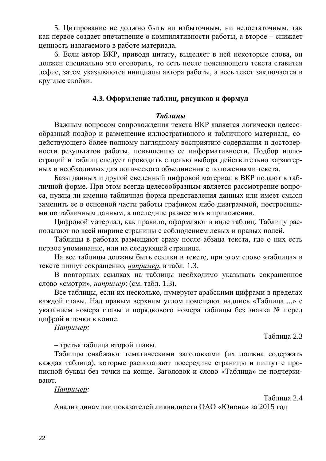5. Цитирование не должно быть ни избыточным, ни недостаточным, так как первое создает впечатление о компилятивности работы, а второе – снижает ценность излагаемого в работе материала.

6. Если автор ВКР, приводя цитату, выделяет в ней некоторые слова, он должен специально это оговорить, то есть после поясняющего текста ставится дефис, затем указываются инициалы автора работы, а весь текст заключается в круглые скобки.

## <span id="page-21-0"></span>4.3. Оформление таблиц, рисунков и формул

### **Таблицы**

Важным вопросом сопровождения текста ВКР является логически целесообразный подбор и размещение иллюстративного и табличного материала, содействующего более полному наглядному восприятию содержания и достоверности результатов работы, повышению ее информативности. Подбор иллюстраций и таблиц следует проводить с целью выбора действительно характерных и необходимых для логического объединения с положениями текста.

Базы данных и другой сведенный цифровой материал в ВКР подают в табличной форме. При этом всегда целесообразным является рассмотрение вопроса, нужна ли именно табличная форма представления данных или имеет смысл заменить ее в основной части работы графиком либо диаграммой, построенными по табличным данным, а последние разместить в приложении.

Цифровой материал, как правило, оформляют в виде таблиц. Таблицу располагают по всей ширине страницы с соблюдением левых и правых полей.

Таблицы в работах размещают сразу после абзаца текста, где о них есть первое упоминание, или на следующей странице.

На все таблицы должны быть ссылки в тексте, при этом слово «таблица» в тексте пишут сокращенно, например, в табл. 1.3.

В повторных ссылках на таблицы необходимо указывать сокращенное слово «смотри», *например*: (см. табл. 1.3).

Все таблицы, если их несколько, нумеруют арабскими цифрами в пределах каждой главы. Над правым верхним углом помещают надпись «Таблица ...» с указанием номера главы и порядкового номера таблицы без значка № перед цифрой и точки в конце.

*Например:* 

Таблина 2.3

- третья таблица второй главы.

Таблицы снабжают тематическими заголовками (их должна содержать каждая таблица), которые располагают посередине страницы и пишут с прописной буквы без точки на конце. Заголовок и слово «Таблица» не подчеркивают.

### *Например:*

Таблица 2.4

Анализ динамики показателей ликвидности ОАО «Юнона» за 2015 год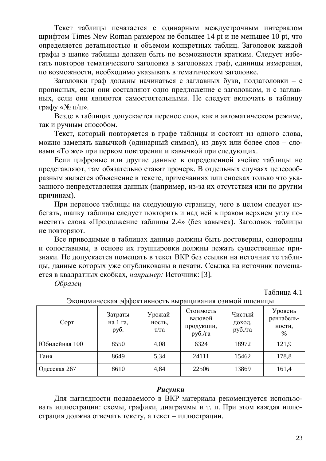Текст таблицы печатается с одинарным междустрочным интервалом шрифтом Times New Roman размером не большее 14 pt и не меньшее 10 pt, что определяется детальностью и объемом конкретных таблиц. Заголовок каждой графы в шапке таблицы должен быть по возможности кратким. Следует избегать повторов тематического заголовка в заголовках граф, единицы измерения, по возможности, необходимо указывать в тематическом заголовке.

Заголовки граф должны начинаться с заглавных букв, подзаголовки – с прописных, если они составляют одно предложение с заголовком, и с заглавных, если они являются самостоятельными. Не следует включать в таблицу графу « $\mathbb{N}$ <sup>o</sup> п/п».

Везде в таблицах допускается перенос слов, как в автоматическом режиме, так и ручным способом.

Текст, который повторяется в графе таблицы и состоит из одного слова, можно заменять кавычкой (одинарный символ), из двух или более слов – словами «То же» при первом повторении и кавычкой при следующих.

Если цифровые или другие данные в определенной ячейке таблицы не представляют, там обязательно ставят прочерк. В отдельных случаях целесообразным является объяснение в тексте, примечаниях или сносках только что указанного непредставления данных (например, из-за их отсутствия или по другим причинам).

При переносе таблицы на следующую страницу, чего в целом следует избегать, шапку таблицы следует повторить и над ней в правом верхнем углу поместить слова «Продолжение таблицы 2.4» (без кавычек). Заголовок таблицы не повторяют.

Все приводимые в таблицах данные должны быть достоверны, однородны и сопоставимы, в основе их группировки должны лежать существенные признаки. Не допускается помещать в текст ВКР без ссылки на источник те таблицы, данные которых уже опубликованы в печати. Ссылка на источник помещается в квадратных скобках, например: Источник: [3].

*Образеи* 

Таблица 4.1

| ОКОНОМИ ГОСКИЯ ЭФФОКТИВНОСТВ ВВГРАЩИВАНИЯ ОЗИМОЙ ПШОНИЦЫ |                             |                           |                                               |                             |                                         |
|----------------------------------------------------------|-----------------------------|---------------------------|-----------------------------------------------|-----------------------------|-----------------------------------------|
| Copt                                                     | Затраты<br>на 1 га,<br>руб. | Урожай-<br>ность,<br>T/Ta | Стоимость<br>валовой<br>продукции,<br>руб./га | Чистый<br>доход,<br>руб./га | Уровень<br>рентабель-<br>ности.<br>$\%$ |
| Юбилейная 100                                            | 8550                        | 4,08                      | 6324                                          | 18972                       | 121,9                                   |
| Таня                                                     | 8649                        | 5,34                      | 24111                                         | 15462                       | 178,8                                   |
| Одесская 267                                             | 8610                        | 4,84                      | 22506                                         | 13869                       | 161,4                                   |

Экономическая эффективность выращивания озимой пшеницы

### **Рисунки**

Для наглядности подаваемого в ВКР материала рекомендуется использовать иллюстрации: схемы, графики, диаграммы и т. п. При этом каждая иллюстрация должна отвечать тексту, а текст – иллюстрации.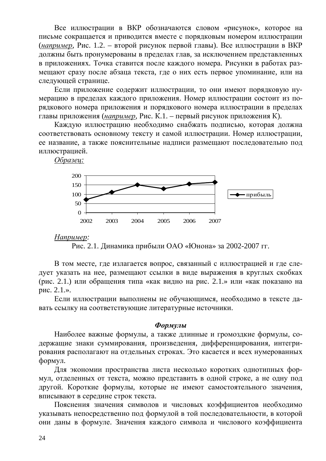Все иллюстрации в ВКР обозначаются словом «рисунок», которое на письме сокращается и приводится вместе с порядковым номером иллюстрации (*например*, Рис. 1.2. – второй рисунок первой главы). Все иллюстрации в ВКР должны быть пронумерованы в пределах глав, за исключением представленных в приложениях. Точка ставится после каждого номера. Рисунки в работах размещают сразу после абзаца текста, где о них есть первое упоминание, или на следующей странице.

Если приложение содержит иллюстрации, то они имеют порядковую нумерацию в пределах каждого приложения. Номер иллюстрации состоит из порядкового номера приложения и порядкового номера иллюстрации в пределах главы приложения (*например*, Рис. К.1. – первый рисунок приложения К).

Каждую иллюстрацию необходимо снабжать подписью, которая должна соответствовать основному тексту и самой иллюстрации. Номер иллюстрации, ее название, а также пояснительные надписи размещают последовательно под иллюстрацией.

*Oбразец:* 



### Hапример:

В том месте, где излагается вопрос, связанный с иллюстрацией и где следует указать на нее, размещают ссылки в виде выражения в круглых скобках (рис. 2.1.) или обращения типа «как видно на рис. 2.1.» или «как показано на рис.  $2.1.$ ».

Если иллюстрации выполнены не обучающимся, необходимо в тексте давать ссылку на соответствующие литературные источники.

#### **Формулы**

Наиболее важные формулы, а также длинные и громоздкие формулы, содержащие знаки суммирования, произведения, дифференцирования, интегрирования располагают на отдельных строках. Это касается и всех нумерованных формул.

Для экономии пространства листа несколько коротких однотипных формул, отделенных от текста, можно представить в одной строке, а не одну под другой. Короткие формулы, которые не имеют самостоятельного значения, вписывают в середине строк текста.

Пояснения значения символов и числовых коэффициентов необходимо указывать непосредственно под формулой в той последовательности, в которой они даны в формуле. Значения каждого символа и числового коэффициента

Рис. 2.1. Динамика прибыли ОАО «Юнона» за 2002-2007 гг.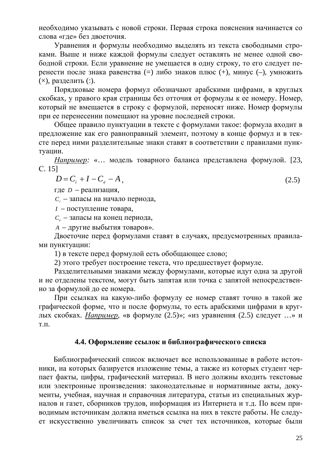необходимо указывать с новой строки. Первая строка пояснения начинается со слова «где» без двоеточия.

Уравнения и формулы необходимо выделять из текста свободными строками. Выше и ниже каждой формулы следует оставлять не менее одной свободной строки. Если уравнение не умещается в одну строку, то его следует перенести после знака равенства (=) либо знаков плюс (+), минус (-), умножить  $(x)$ , разделить  $(:).$ 

Порядковые номера формул обозначают арабскими цифрами, в круглых скобках, у правого края страницы без отточия от формулы к ее номеру. Номер, который не вмещается в строку с формулой, переносят ниже. Номер формулы при ее перенесении помещают на уровне последней строки.

Общее правило пунктуации в тексте с формулами такое: формула входит в предложение как его равноправный элемент, поэтому в конце формул и в тексте перед ними разделительные знаки ставят в соответствии с правилами пунктуации.

*Например*: «... модель товарного баланса представлена формулой. [23, ɋ. 15]

$$
D = C_i + I - C_e - A,
$$
\n
$$
(2.5)
$$

где *D* – реализация,

 $C_i$  – запасы на начало периода,

*I* – поступление товара,

 $C_e$  – запасы на конец периода,

*A* – другие выбытия товаров».

Двоеточие перед формулами ставят в случаях, предусмотренных правилами пунктуации:

1) в тексте перед формулой есть обобщающее слово;

2) этого требует построение текста, что предшествует формуле.

Разделительными знаками между формулами, которые идут одна за другой и не отделены текстом, могут быть запятая или точка с запятой непосредственно за формулой до ее номера.

При ссылках на какую-либо формулу ее номер ставят точно в такой же графической форме, что и после формулы, то есть арабскими цифрами в круглых скобках. *Например*, «в формуле (2.5)»; «из уравнения (2.5) следует ...» и T.Π.

### <span id="page-24-0"></span>4.4. Оформление ссылок и библиографического списка

Библиографический список включает все использованные в работе источники, на которых базируется изложение темы, а также из которых студент черпает факты, цифры, графический материал. В него должны входить текстовые или электронные произведения: законодательные и нормативные акты, документы, учебная, научная и справочная литература, статьи из специальных журналов и газет, сборников трудов, информация из Интернета и т.д. По всем приводимым источникам должна иметься ссылка на них в тексте работы. Не следует искусственно увеличивать список за счет тех источников, которые были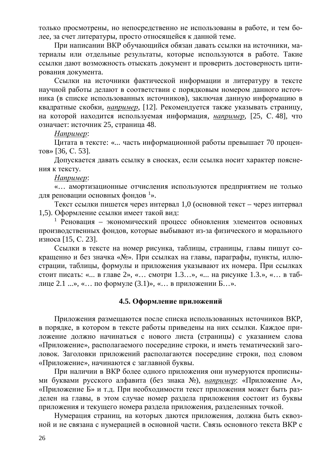только просмотрены, но непосредственно не использованы в работе, и тем более, за счет литературы, просто относящейся к данной теме.

При написании ВКР обучающийся обязан давать ссылки на источники, материалы или отдельные результаты, которые используются в работе. Такие ссылки дают возможность отыскать документ и проверить достоверность цитирования документа.

Ссылки на источники фактической информации и литературу в тексте научной работы делают в соответствии с порядковым номером данного источника (в списке использованных источников), заключая данную информацию в квадратные скобки, *например*, [12]. Рекомендуется также указывать страницу, на которой находится используемая информация, *например*, [25, С. 48], что означает: источник 25, страница 48.

Hanpимер:

Цитата в тексте: «... часть информационной работы превышает 70 процен- $TOB \gg [36, C. 53]$ .

Допускается давать ссылку в сносках, если ссылка носит характер пояснения к тексту.

### *ɇɚɩɪɢɦɟɪ*:

«... амортизационные отчисления используются предприятием не только для реновации основных фондов<sup>1</sup>».

Текст ссылки пишется через интервал 1,0 (основной текст – через интервал 1,5). Оформление ссылки имеет такой вид:

1 Реновация - экономический процесс обновления элементов основных производственных фондов, которые выбывают из-за физического и морального износа [15, С. 23].

Ссылки в тексте на номер рисунка, таблицы, страницы, главы пишут сокращенно и без значка «№». При ссылках на главы, параграфы, пункты, иллюстрации, таблицы, формулы и приложения указывают их номера. При ссылках стоит писать: «... в главе  $2$ », «... смотри 1.3...», «... на рисунке 1.3.», «... в таблице 2.1 ...», «... по формуле  $(3.1)$ », «... в приложении Б...».

### <span id="page-25-0"></span>4.5. Оформление приложений

Приложения размещаются после списка использованных источников ВКР, в порядке, в котором в тексте работы приведены на них ссылки. Каждое приложение должно начинаться с нового листа (страницы) с указанием слова «Приложение», располагаемого посередине строки, и иметь тематический заголовок. Заголовки приложений располагаются посередине строки, под словом «Приложение», начинаются с заглавной буквы.

При наличии в ВКР более одного приложения они нумеруются прописными буквами русского алфавита (без знака №), *например*: «Приложение А», «Приложение Б» и т.д. При необходимости текст приложения может быть разделен на главы, в этом случае номер раздела приложения состоит из буквы приложения и текущего номера раздела приложения, разделенных точкой.

Нумерация страниц, на которых даются приложения, должна быть сквозной и не связана с нумерацией в основной части. Связь основного текста ВКР с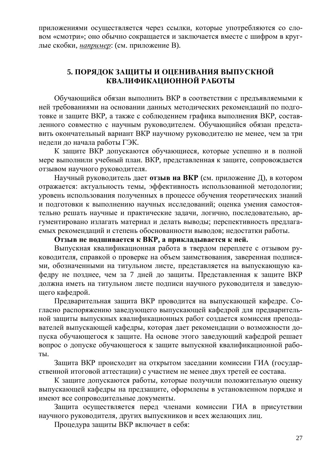приложениями осуществляется через ссылки, которые употребляются со словом «смотри»; оно обычно сокращается и заключается вместе с шифром в круглые скобки, *например*: (см. приложение В).

# <span id="page-26-0"></span>5. ПОРЯДОК ЗАЩИТЫ И ОЦЕНИВАНИЯ ВЫПУСКНОЙ КВАЛИФИКАЦИОННОЙ РАБОТЫ

Обучающийся обязан выполнить ВКР в соответствии с предъявляемыми к ней требованиями на основании данных методических рекомендаций по подготовке и защите ВКР, а также с соблюдением графика выполнения ВКР, составленного совместно с научным руководителем. Обучающийся обязан представить окончательный вариант ВКР научному руководителю не менее, чем за три недели до начала работы ГЭК.

К защите ВКР допускаются обучающиеся, которые успешно и в полной мере выполнили учебный план. ВКР, представленная к защите, сопровождается отзывом научного руководителя.

Научный руководитель дает **отзыв на ВКР** (см. приложение Д), в котором отражается: актуальность темы, эффективность использованной методологии; уровень использования полученных в процессе обучения теоретических знаний и подготовки к выполнению научных исследований; оценка умения самостоятельно решать научные и практические задачи, логично, последовательно, аргументировано излагать материал и делать выводы; перспективность предлагаемых рекомендаций и степень обоснованности выводов; недостатки работы.

### Отзыв не подшивается к ВКР, а прикладывается к ней.

Выпускная квалификационная работа в твердом переплете с отзывом руководителя, справкой о проверке на объем заимствования, заверенная подписями, обозначенными на титульном листе, представляется на выпускающую кафедру не позднее, чем за 7 дней до защиты. Представленная к защите ВКР должна иметь на титульном листе подписи научного руководителя и заведующего кафедрой.

Предварительная защита ВКР проводится на выпускающей кафедре. Согласно распоряжению заведующего выпускающей кафедрой для предварительной защиты выпускных квалификационных работ создается комиссия преподавателей выпускающей кафедры, которая дает рекомендации о возможности допуска обучающегося к защите. На основе этого заведующий кафедрой решает вопрос о допуске обучающегося к защите выпускной квалификационной рабо-TЫ.

Защита ВКР происходит на открытом заседании комиссии ГИА (государственной итоговой аттестации) с участием не менее двух третей ее состава.

К защите допускаются работы, которые получили положительную оценку выпускающей кафедры на предзащите, оформлены в установленном порядке и имеют все сопроводительные документы.

Защита осуществляется перед членами комиссии ГИА в присутствии научного руководителя, других выпускников и всех желающих лиц.

Процедура защиты ВКР включает в себя: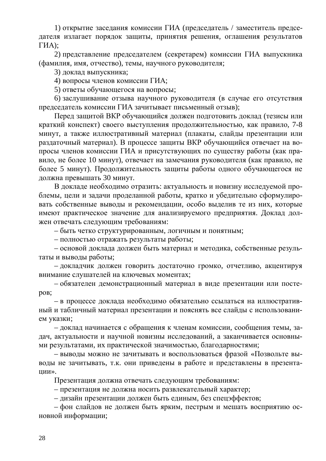1) открытие заседания комиссии ГИА (председатель / заместитель председателя излагает порядок защиты, принятия решения, оглашения результатов  $\Gamma$ *HA* $)$ :

2) представление председателем (секретарем) комиссии ГИА выпускника (фамилия, имя, отчество), темы, научного руководителя;

3) доклад выпускника;

4) вопросы членов комиссии ГИА;

5) ответы обучающегося на вопросы;

6) заслушивание отзыва научного руководителя (в случае его отсутствия председатель комиссии ГИА зачитывает письменный отзыв);

Перед защитой ВКР обучающийся должен подготовить доклад (тезисы или краткий конспект) своего выступления продолжительностью, как правило, 7-8 минут, а также иллюстративный материал (плакаты, слайды презентации или раздаточный материал). В процессе защиты ВКР обучающийся отвечает на вопросы членов комиссии ГИА и присутствующих по существу работы (как правило, не более 10 минут), отвечает на замечания руководителя (как правило, не более 5 минут). Продолжительность защиты работы одного обучающегося не должна превышать 30 минут.

В докладе необходимо отразить: актуальность и новизну исследуемой проблемы, цели и задачи проделанной работы, кратко и убедительно сформулировать собственные выводы и рекомендации, особо выделив те из них, которые имеют практическое значение для анализируемого предприятия. Доклад должен отвечать следующим требованиям:

- быть четко структурированным, логичным и понятным;

– полностью отражать результаты работы;

– основой доклада должен быть материал и методика, собственные результаты и выводы работы;

- докладчик должен говорить достаточно громко, отчетливо, акцентируя внимание слушателей на ключевых моментах;

- обязателен демонстрационный материал в виде презентации или постеpo<sub>B</sub>;

– в процессе доклада необходимо обязательно ссылаться на иллюстративный и табличный материал презентации и пояснять все слайды с использованием указки;

– доклад начинается с обращения к членам комиссии, сообщения темы, задач, актуальности и научной новизны исследований, а заканчивается основными результатами, их практической значимостью, благодарностями;

– выводы можно не зачитывать и воспользоваться фразой «Позвольте выводы не зачитывать, т.к. они приведены в работе и представлены в презентаɰɢɢ».

Презентация должна отвечать следующим требованиям:

– презентация не должна носить развлекательный характер;

– дизайн презентации должен быть единым, без спецэффектов;

– фон слайдов не должен быть ярким, пестрым и мешать восприятию основной информации;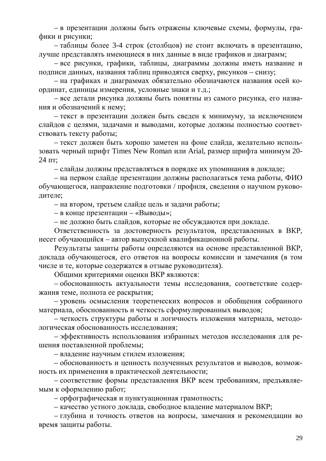– в презентации должны быть отражены ключевые схемы, формулы, графики и рисунки;

– таблицы более 3-4 строк (столбцов) не стоит включать в презентацию, лучше представлять имеющиеся в них данные в виде графиков и диаграмм;

– все рисунки, графики, таблицы, диаграммы должны иметь название и подписи данных, названия таблиц приводятся сверху, рисунков – снизу;

– на графиках и диаграммах обязательно обозначаются названия осей координат, единицы измерения, условные знаки и т.д.;

– все детали рисунка должны быть понятны из самого рисунка, его названия и обозначений к нему;

– текст в презентации должен быть сведен к минимуму, за исключением слайдов с целями, задачами и выводами, которые должны полностью соответствовать тексту работы;

– текст должен быть хорошо заметен на фоне слайда, желательно использовать черный шрифт Times New Roman или Arial, размер шрифта минимум 20- $24 \text{ }\text{III}$ ;

– слайды должны представляться в порядке их упоминания в докладе;

– на первом слайде презентации должны располагаться тема работы, ФИО обучающегося, направление подготовки / профиля, сведения о научном руководителе;

– на втором, третьем слайде цель и задачи работы;

– в конце презентации – «Выводы»;

– не должно быть слайдов, которые не обсуждаются при докладе.

Ответственность за достоверность результатов, представленных в ВКР, несет обучающийся – автор выпускной квалификационной работы.

Результаты защиты работы определяются на основе представленной ВКР, доклада обучающегося, его ответов на вопросы комиссии и замечания (в том числе и те, которые содержатся в отзыве руководителя).

Общими критериями оценки ВКР являются:

- обоснованность актуальности темы исследования, соответствие содержания теме, полнота ее раскрытия;

– уровень осмысления теоретических вопросов и обобщения собранного материала, обоснованность и четкость сформулированных выводов;

– четкость структуры работы и логичность изложения материала, методологическая обоснованность исследования;

– эффективность использования избранных методов исследования для решения поставленной проблемы;

– владение научным стилем изложения;

– обоснованность и ценность полученных результатов и выводов, возможность их применения в практической деятельности;

– соответствие формы представления ВКР всем требованиям, предъявляемым к оформлению работ;

- орфографическая и пунктуационная грамотность;

– качество устного доклада, свободное владение материалом ВКР;

– глубина и точность ответов на вопросы, замечания и рекомендации во время защиты работы.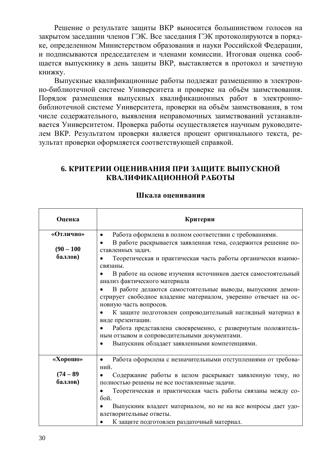Решение о результате защиты ВКР выносится большинством голосов на закрытом заседании членов ГЭК. Все заседания ГЭК протоколируются в порядке, определенном Министерством образования и науки Российской Федерации, и подписываются председателем и членами комиссии. Итоговая оценка сообщается выпускнику в день защиты ВКР, выставляется в протокол и зачетную книжку.

Выпускные квалификационные работы подлежат размещению в электронно-библиотечной системе Университета и проверке на объём заимствования. Порядок размещения выпускных квалификационных работ в электроннобиблиотечной системе Университета, проверки на объём заимствования, в том числе содержательного, выявления неправомочных заимствований устанавливается Университетом. Проверка работы осуществляется научным руководителем ВКР. Результатом проверки является процент оригинального текста, результат проверки оформляется соответствующей справкой.

# <span id="page-29-0"></span>**6. КРИТЕРИИ ОЦЕНИВАНИЯ ПРИ ЗАЩИТЕ ВЫПУСКНОЙ** КВАЛИФИКАЦИОННОЙ РАБОТЫ

| Оценка       | Критерии                                                                                       |
|--------------|------------------------------------------------------------------------------------------------|
| «Отлично»    | Работа оформлена в полном соответствии с требованиями.<br>$\bullet$                            |
|              | В работе раскрывается заявленная тема, содержится решение по-                                  |
| $(90 - 100)$ | ставленных задач.                                                                              |
| баллов)      | Теоретическая и практическая часть работы органически взаимо-                                  |
|              | связаны.                                                                                       |
|              | В работе на основе изучения источников дается самостоятельный<br>анализ фактического материала |
|              | В работе делаются самостоятельные выводы, выпускник демон-                                     |
|              | стрирует свободное владение материалом, уверенно отвечает на ос-                               |
|              | новную часть вопросов.                                                                         |
|              | К защите подготовлен сопроводительный наглядный материал в                                     |
|              | виде презентации.                                                                              |
|              | Работа представлена своевременно, с развернутым положитель-                                    |
|              | ным отзывом и сопроводительными документами.                                                   |
|              | Выпускник обладает заявленными компетенциями.                                                  |
| «Хорошо»     | Работа оформлена с незначительными отступлениями от требова-<br>$\bullet$<br>ний.              |
| $(74 - 89)$  | Содержание работы в целом раскрывает заявленную тему, но                                       |
| баллов)      | полностью решены не все поставленные задачи.                                                   |
|              | Теоретическая и практическая часть работы связаны между со-                                    |
|              | бой.                                                                                           |
|              | Выпускник владеет материалом, но не на все вопросы дает удо-                                   |
|              | влетворительные ответы.                                                                        |
|              | К защите подготовлен раздаточный материал.                                                     |

### Шкала оценивания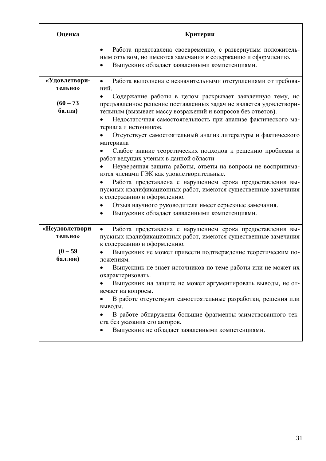| Оценка                                              | Критерии                                                                                                                                                                                                                                                                                                                                                                                                                                                                                                                                                                                                                                                                 |
|-----------------------------------------------------|--------------------------------------------------------------------------------------------------------------------------------------------------------------------------------------------------------------------------------------------------------------------------------------------------------------------------------------------------------------------------------------------------------------------------------------------------------------------------------------------------------------------------------------------------------------------------------------------------------------------------------------------------------------------------|
|                                                     | Работа представлена своевременно, с развернутым положитель-<br>$\bullet$<br>ным отзывом, но имеются замечания к содержанию и оформлению.<br>Выпускник обладает заявленными компетенциями.<br>$\bullet$                                                                                                                                                                                                                                                                                                                                                                                                                                                                   |
| «Удовлетвори-<br>тельно»<br>$(60 - 73)$<br>балла)   | $\bullet$<br>Работа выполнена с незначительными отступлениями от требова-<br>ний.<br>Содержание работы в целом раскрывает заявленную тему, но<br>предъявленное решение поставленных задач не является удовлетвори-<br>тельным (вызывает массу возражений и вопросов без ответов).<br>Недостаточная самостоятельность при анализе фактического ма-<br>териала и источников.<br>Отсутствует самостоятельный анализ литературы и фактического<br>материала<br>Слабое знание теоретических подходов к решению проблемы и<br>работ ведущих ученых в данной области<br>Неуверенная защита работы, ответы на вопросы не воспринима-<br>ются членами ГЭК как удовлетворительные. |
|                                                     | Работа представлена с нарушением срока предоставления вы-<br>пускных квалификационных работ, имеются существенные замечания<br>к содержанию и оформлению.<br>Отзыв научного руководителя имеет серьезные замечания.<br>Выпускник обладает заявленными компетенциями.                                                                                                                                                                                                                                                                                                                                                                                                     |
| «Неудовлетвори-<br>тельно»<br>$(0 - 59)$<br>баллов) | Работа представлена с нарушением срока предоставления вы-<br>пускных квалификационных работ, имеются существенные замечания<br>к содержанию и оформлению.<br>Выпускник не может привести подтверждение теоретическим по-<br>$\bullet$<br>ложениям.<br>Выпускник не знает источников по теме работы или не может их<br>охарактеризовать.<br>Выпускник на защите не может аргументировать выводы, не от-<br>вечает на вопросы.<br>В работе отсутствуют самостоятельные разработки, решения или<br>выводы.<br>В работе обнаружены большие фрагменты заимствованного тек-<br>ста без указания его авторов.<br>Выпускник не обладает заявленными компетенциями.<br>$\bullet$  |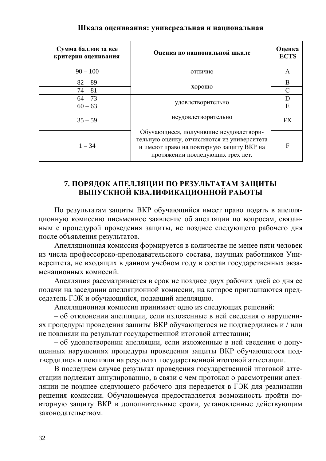### Шкала оценивания: универсальная и национальная

| Сумма баллов за все<br>критерии оценивания | Оценка по национальной шкале                                                                                                                                          | Оценка<br><b>ECTS</b> |
|--------------------------------------------|-----------------------------------------------------------------------------------------------------------------------------------------------------------------------|-----------------------|
| $90 - 100$                                 | ОТЛИЧНО                                                                                                                                                               | A                     |
| $82 - 89$                                  |                                                                                                                                                                       | B                     |
| $74 - 81$                                  | хорошо                                                                                                                                                                | C                     |
| $64 - 73$                                  |                                                                                                                                                                       | D                     |
| $60 - 63$                                  | удовлетворительно                                                                                                                                                     | E                     |
| $35 - 59$                                  | неудовлетворительно                                                                                                                                                   | <b>FX</b>             |
| $1 - 34$                                   | Обучающиеся, получившие неудовлетвори-<br>тельную оценку, отчисляются из университета<br>и имеют право на повторную защиту ВКР на<br>протяжении последующих трех лет. | F                     |

# <span id="page-31-0"></span>**7. ПОРЯДОК АПЕЛЛЯЦИИ ПО РЕЗУЛЬТАТАМ ЗАЩИТЫ** ВЫПУСКНОЙ КВАЛИФИКАЦИОННОЙ РАБОТЫ

По результатам защиты ВКР обучающийся имеет право подать в апелляшионную комиссию письменное заявление об апелляции по вопросам, связанным с процедурой проведения защиты, не позднее следующего рабочего дня после объявления результатов.

Апелляционная комиссия формируется в количестве не менее пяти человек из числа профессорско-преподавательского состава, научных работников Университета, не входящих в данном учебном году в состав государственных экзаменационных комиссий.

Апелляция рассматривается в срок не позднее двух рабочих дней со дня ее подачи на заседании апелляционной комиссии, на которое приглашаются председатель ГЭК и обучающийся, подавший апелляцию.

Апелляционная комиссия принимает одно из следующих решений:

– об отклонении апелляции, если изложенные в ней сведения о нарушениях процедуры проведения защиты ВКР обучающегося не подтвердились и / или не повлияли на результат государственной итоговой аттестации;

– об удовлетворении апелляции, если изложенные в ней сведения о допущенных нарушениях процедуры проведения защиты ВКР обучающегося подтвердились и повлияли на результат государственной итоговой аттестации.

В последнем случае результат проведения государственной итоговой аттестации подлежит аннулированию, в связи с чем протокол о рассмотрении апелляции не позднее следующего рабочего дня передается в ГЭК для реализации решения комиссии. Обучающемуся предоставляется возможность пройти повторную зашиту ВКР в дополнительные сроки, установленные действующим законолательством.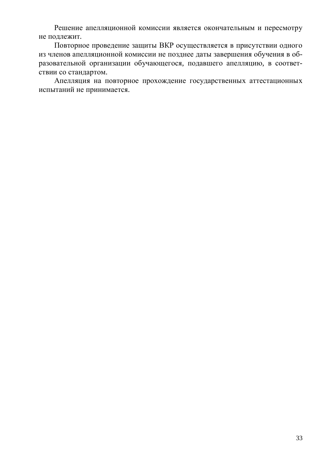Решение апелляционной комиссии является окончательным и пересмотру не подлежит.

Повторное проведение защиты ВКР осуществляется в присутствии одного из членов апелляционной комиссии не позднее даты завершения обучения в образовательной организации обучающегося, подавшего апелляцию, в соответствии со стандартом.

Апелляция на повторное прохождение государственных аттестационных испытаний не принимается.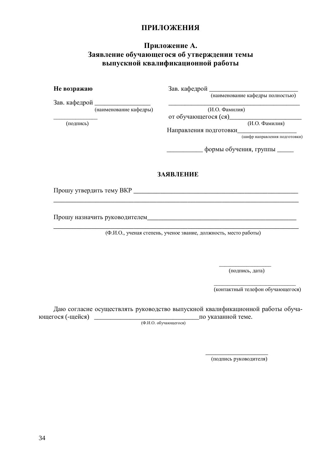# <span id="page-33-1"></span><span id="page-33-0"></span>ТРИЛОЖЕНИЯ

## Приложение А. Заявление обучающегося об утверждении темы **выпускной квалификационной работы**

| Не возражаю |  |
|-------------|--|
|-------------|--|

Зав. кафедрой \_

**(наименование кафедры полностью)** 

Зав. кафедрой

(наименование кафедры) (И.О. Фамилия)

от обучающегося (ся)\_\_\_\_\_  $(H.O. \text{ Qammung})$  ( $(H.O. \text{ Qammung})$ )

Направления подготовки\_

(шифр направления подготовки)

\_\_\_\_\_\_\_\_\_\_\_ ɮɨɪɦɵɨɛɭɱɟɧɢɹ, ɝɪɭɩɩɵ \_\_\_\_\_

### ЗАЯВЛЕНИЕ

\_\_\_\_\_\_\_\_\_\_\_\_\_\_\_\_\_\_\_\_\_\_\_\_\_\_\_\_\_\_\_\_\_\_\_\_\_\_\_\_\_\_\_\_\_\_\_\_\_\_\_\_\_\_\_\_\_\_\_\_\_\_\_\_

Прошу утвердить тему ВКР

Прошу назначить руководителем

\_\_\_\_\_\_\_\_\_\_\_\_\_\_\_\_\_\_\_\_\_\_\_\_\_\_\_\_\_\_\_\_\_\_\_\_\_\_\_\_\_\_\_\_\_\_\_\_\_\_\_\_\_\_\_\_\_\_\_\_\_\_\_\_ (Ф.И.О., ученая степень, ученое звание, должность, место работы)

(подпись, дата)

(контактный телефон обучающегося)

Даю согласие осуществлять руководство выпускной квалификационной работы обучаɸɳɟɝɨɫɹ (-ɳɟɣɫɹ) \_\_\_\_\_\_\_\_\_\_\_\_\_\_\_\_\_\_\_\_\_\_\_\_\_\_\_\_\_\_\_\_ɩɨɭɤɚɡɚɧɧɨɣɬɟɦɟ.

 $\frac{1}{\sqrt{2}}$  , and the state of the state of the state of the state of the state of the state of the state of the state of the state of the state of the state of the state of the state of the state of the state of the sta

(Ф.И.О. обучающегося)

 $\mathcal{L}_\text{max}$  and  $\mathcal{L}_\text{max}$  and  $\mathcal{L}_\text{max}$  and  $\mathcal{L}_\text{max}$  and  $\mathcal{L}_\text{max}$ 

 $\overline{\phantom{a}}$  , which is a set of the set of the set of the set of the set of the set of the set of the set of the set of the set of the set of the set of the set of the set of the set of the set of the set of the set of th (подпись руководителя)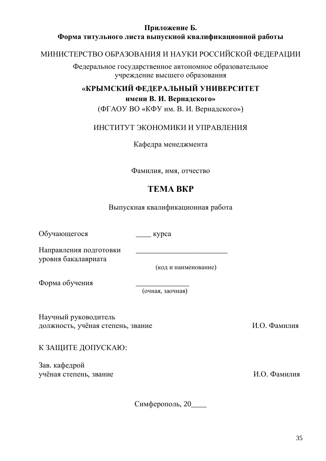# Приложение Б. Форма титульного листа выпускной квалификационной работы

# МИНИСТЕРСТВО ОБРАЗОВАНИЯ И НАУКИ РОССИЙСКОЙ ФЕДЕРАЦИИ

<span id="page-34-0"></span>Федеральное государственное автономное образовательное учреждение высшего образования

# «КРЫМСКИЙ ФЕДЕРАЛЬНЫЙ УНИВЕРСИТЕТ **имени В. И. Вернадского»**

(ФГАОУ ВО «КФУ им. В. И. Вернадского»)

# ИНСТИТУТ ЭКОНОМИКИ И УПРАВЛЕНИЯ

Кафедра менеджмента

Фамилия, имя, отчество

# **TEMA BKP**

Выпускная квалификационная работа

Обучающегося \_\_\_\_ курса

Направления подготовки уровня бакалавриата

(код и наименование)

Форма обучения

(очная, заочная)

Научный руководитель должность, учёная степень, звание и пользов и пользов и пользов и пользов и пользов и пользов и пользов и польз

К ЗАЩИТЕ ДОПУСКАЮ:

Зав. кафедрой үчёная степень, звание и поставляет и поставляет и поставляет и поставляет и поставляет и поставляет и поставл

Симферополь, 20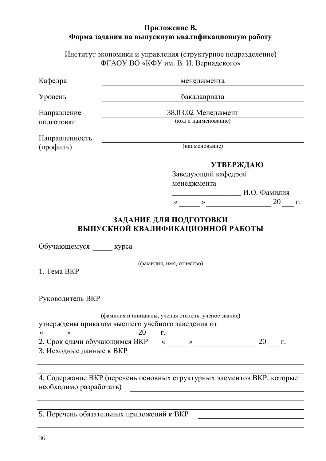# <span id="page-35-0"></span>Приложение В. Форма задания на выпускную квалификационную работу

Институт экономики и управления (структурное подразделение) ФГАОУ ВО «КФУ им. В. И. Вернадского»

| Кафедра                                                              | менеджмента                                                                                                                                                                                                                                         |  |  |
|----------------------------------------------------------------------|-----------------------------------------------------------------------------------------------------------------------------------------------------------------------------------------------------------------------------------------------------|--|--|
| Уровень                                                              | бакалавриата                                                                                                                                                                                                                                        |  |  |
| Направление<br>подготовки                                            | 38.03.02 Менеджмент<br>(код и наименование)                                                                                                                                                                                                         |  |  |
| Направленность<br>(профиль)                                          | (наименование)                                                                                                                                                                                                                                      |  |  |
|                                                                      | <b>УТВЕРЖДАЮ</b><br>Заведующий кафедрой<br>менеджмента<br>и. С. Фамилия<br>20<br>$\left\langle \kappa \right\rangle$ $\rightarrow$ $\left\langle \kappa \right\rangle$<br>$\Gamma$ .<br>ЗАДАНИЕ ДЛЯ ПОДГОТОВКИ<br>ВЫПУСКНОЙ КВАЛИФИКАЦИОННОЙ РАБОТЫ |  |  |
| Обучающемуся __ курса                                                |                                                                                                                                                                                                                                                     |  |  |
| 1. Тема ВКР                                                          | (фамилия, имя, отчество)                                                                                                                                                                                                                            |  |  |
| Руководитель ВКР                                                     |                                                                                                                                                                                                                                                     |  |  |
| $\hspace{-.15cm}\ll \hspace{-.15cm} \gg$<br>3. Исходные данные к ВКР | (фамилия и инициалы, ученая степень, ученое звание)<br>утверждены приказом высшего учебного заведения от<br>20<br>$\Gamma$ .                                                                                                                        |  |  |
| необходимо разработать)                                              | 4. Содержание ВКР (перечень основных структурных элементов ВКР, которые                                                                                                                                                                             |  |  |
|                                                                      | 5. Перечень обязательных приложений к ВКР                                                                                                                                                                                                           |  |  |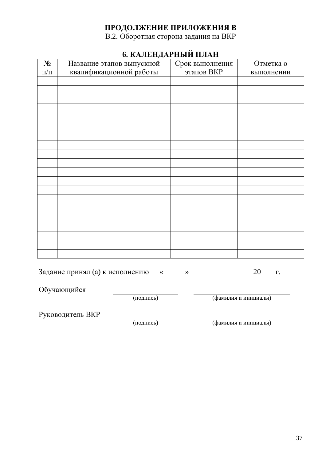# ПРОДОЛЖЕНИЕ ПРИЛОЖЕНИЯ В

В.2. Оборотная сторона задания на ВКР

| 0. КАЛЕНДАГ ПЕШ ПЛАН                                     |                           |                 |            |  |  |
|----------------------------------------------------------|---------------------------|-----------------|------------|--|--|
| $N_{2}$                                                  | Название этапов выпускной | Срок выполнения | Отметка о  |  |  |
| $\Pi/\Pi$                                                | квалификационной работы   | этапов ВКР      | выполнении |  |  |
|                                                          |                           |                 |            |  |  |
|                                                          |                           |                 |            |  |  |
|                                                          |                           |                 |            |  |  |
|                                                          |                           |                 |            |  |  |
|                                                          |                           |                 |            |  |  |
|                                                          |                           |                 |            |  |  |
|                                                          |                           |                 |            |  |  |
|                                                          |                           |                 |            |  |  |
|                                                          |                           |                 |            |  |  |
|                                                          |                           |                 |            |  |  |
|                                                          |                           |                 |            |  |  |
|                                                          |                           |                 |            |  |  |
|                                                          |                           |                 |            |  |  |
|                                                          |                           |                 |            |  |  |
|                                                          |                           |                 |            |  |  |
|                                                          |                           |                 |            |  |  |
|                                                          |                           |                 |            |  |  |
|                                                          |                           |                 |            |  |  |
|                                                          |                           |                 |            |  |  |
|                                                          |                           |                 |            |  |  |
| Задание принял (а) к исполнению « ____ » ______<br>20 г. |                           |                 |            |  |  |
| Обучающийся                                              |                           |                 |            |  |  |

# $\epsilon$ **C EXA TELL A DULLIMET THALL**

Руководитель ВКР

(подпись) (фамилия и инициалы)

(подпись) (фамилия и инициалы)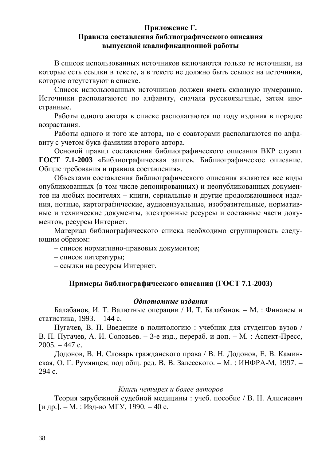## <span id="page-37-0"></span>Приложение Г. Правила составления библиографического описания **выпускной квалификационной работы**

В список использованных источников включаются только те источники, на которые есть ссылки в тексте, а в тексте не должно быть ссылок на источники, которые отсутствуют в списке.

Список использованных источников должен иметь сквозную нумерацию. Источники располагаются по алфавиту, сначала русскоязычные, затем иностранные.

Работы одного автора в списке располагаются по году издания в порядке возрастания.

Работы одного и того же автора, но с соавторами располагаются по алфавиту с учетом букв фамилии второго автора.

Основой правил составления библиографического описания ВКР служит ГОСТ 7.1-2003 «Библиографическая запись. Библиографическое описание. Общие требования и правила составления».

Объектами составления библиографического описания являются все виды опубликованных (в том числе депонированных) и неопубликованных документов на любых носителях – книги, сериальные и другие продолжающиеся издания, нотные, картографические, аудиовизуальные, изобразительные, нормативные и технические документы, электронные ресурсы и составные части документов, ресурсы Интернет.

Материал библиографического списка необходимо сгруппировать следующим образом:

– список нормативно-правовых документов;

– список литературы;

– ссылки на ресурсы Интернет.

### Примеры библиографического описания (ГОСТ 7.1-2003)

### $O$ днотомные издания

Балабанов, И. Т. Валютные операции / И. Т. Балабанов. – М. : Финансы и статистика, 1993. – 144 с.

Пугачев, В. П. Введение в политологию : учебник для студентов вузов / В. П. Пугачев, А. И. Соловьев. – 3-е изд., перераб. и доп. – М. : Аспект-Пресс,  $2005. - 447$  c.

Додонов, В. Н. Словарь гражданского права / В. Н. Додонов, Е. В. Каминская, О. Г. Румянцев; под общ. ред. В. В. Залесского. – М. : ИНФРА-М, 1997. – 294 c.

### Книги четырех и более авторов

Теория зарубежной судебной медицины : учеб. пособие / В. Н. Алисиевич [и др.]. – М. : Изд-во МГУ, 1990. – 40 с.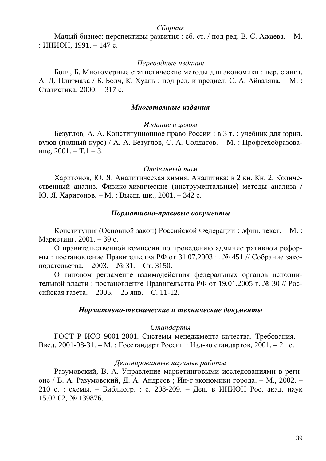### *Сборник*

Малый бизнес: перспективы развития: сб. ст. / под ред. В. С. Ажаева. – М.  $:$  ИНИОН, 1991. – 147 с.

#### Переводные издания

Болч, Б. Многомерные статистические методы для экономики : пер. с англ. А. Д. Плитмака / Б. Болч, К. Хуань; под ред. и предисл. С. А. Айвазяна. – М. : Статистика, 2000. – 317 с.

#### **Многотомные издания**

#### Издание в целом

Безуглов, А. А. Конституционное право России : в 3 т. : учебник для юрид. вузов (полный курс) / А. А. Безуглов, С. А. Солдатов. – М. : Профтехобразование,  $2001. - T.1 - 3.$ 

#### $O$ *тдельный том*

Харитонов, Ю. Я. Аналитическая химия. Аналитика: в 2 кн. Кн. 2. Количественный анализ. Физико-химические (инструментальные) методы анализа / Ю. Я. Харитонов. – М. : Высш. шк., 2001. – 342 с.

### $Hopmamusho$ -правовые документы

Конституция (Основной закон) Российской Федерации: офиц. текст. – М.: Маркетинг, 2001. – 39 с.

О правительственной комиссии по проведению административной реформы: постановление Правительства РФ от 31.07.2003 г. № 451 // Собрание законодательства. – 2003. – № 31. – Ст. 3150.

О типовом регламенте взаимодействия федеральных органов исполнительной власти : постановление Правительства РФ от 19.01.2005 г. № 30 // Российская газета. – 2005. – 25 янв. – С. 11-12.

#### Нормативно-технические и технические документы

### $C$ тандарты

ГОСТ Р ИСО 9001-2001. Системы менеджмента качества. Требования. – Введ. 2001-08-31. – М. : Госстандарт России : Изд-во стандартов, 2001. – 21 с.

### Депонированные научные работы

Разумовский, В. А. Управление маркетинговыми исследованиями в регионе / В. А. Разумовский, Д. А. Андреев; Ин-т экономики города. – М., 2002. – 210 с. : схемы. – Библиогр. : с. 208-209. – Деп. в ИНИОН Рос. акад. наук 15.02.02, № 139876.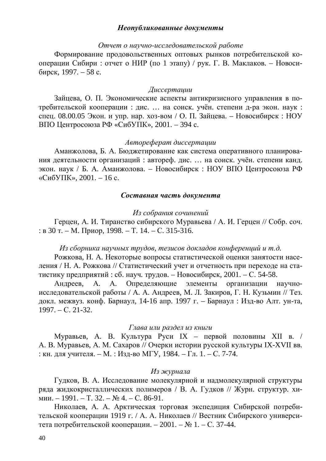### Неопубликованные документы

#### *Ɉɬɱɟɬɨɧɚɭɱɧɨɢɫɫɥɟɞɨɜɚɬɟɥɶɫɤɨɣɪɚɛɨɬɟ*

Формирование продовольственных оптовых рынков потребительской кооперации Сибири : отчет о НИР (по 1 этапу) / рук. Г. В. Маклаков. – Новосибирск, 1997. – 58 с.

#### *Ⱦɢɫɫɟɪɬɚɰɢɢ*

Зайцева, О. П. Экономические аспекты антикризисного управления в потребительской кооперации : дис. ... на соиск. учён. степени д-ра экон. наук : спец. 08.00.05 Экон. и упр. нар. хоз-вом / О. П. Зайцева. – Новосибирск: НОУ ВПО Центросоюза РФ «СибУПК», 2001. – 394 с.

### *A*emopedepam duccepmauuu

Аманжолова, Б. А. Бюджетирование как система оперативного планирования деятельности организаций: автореф. дис. ... на соиск. учён. степени канд. экон. наук / Б. А. Аманжолова. – Новосибирск: НОУ ВПО Центросоюза РФ «СибУПК», 2001. – 16 с.

### Составная часть документа

### Из собрания сочинений

Герцен, А. И. Тиранство сибирского Муравьева / А. И. Герцен // Собр. соч.  $: B 30$  T. – M.  $Pi$ phop, 1998. – T. 14. – C. 315-316.

### $M$ з сборника научных трудов, тезисов докладов конференций и т.д.

Рожкова, Н. А. Некоторые вопросы статистической оценки занятости населения / Н. А. Рожкова // Статистический учет и отчетность при переходе на статистику предприятий: сб. науч. трудов. – Новосибирск, 2001. – С. 54-58.

Андреев, А. А. Определяющие элементы организации научноисследовательской работы / А. А. Андреев, М. Л. Закиров, Г. Н. Кузьмин // Тез. докл. межвуз. конф. Барнаул, 14-16 апр. 1997 г. – Барнаул : Изд-во Алт. ун-та, 1997. – C. 21-32.

#### Глава или раздел из книги

Муравьев, А. В. Культура Руси IX – первой половины XII в. / А. В. Муравьев, А. М. Сахаров // Очерки истории русской культуры IX-XVII вв. : кн. для учителя. – М. : Изд-во МГУ, 1984. – Гл. 1. – С. 7-74.

### *Из журнала*

Гудков, В. А. Исследование молекулярной и надмолекулярной структуры ряда жидкокристаллических полимеров / В. А. Гудков // Журн. структур. химии. – 1991. – Т. 32. – № 4. – С. 86-91.

Николаев, А. А. Арктическая торговая экспедиция Сибирской потребительской кооперации 1919 г. / А. А. Николаев // Вестник Сибирского университета потребительской кооперации. – 2001. – № 1. – С. 37-44.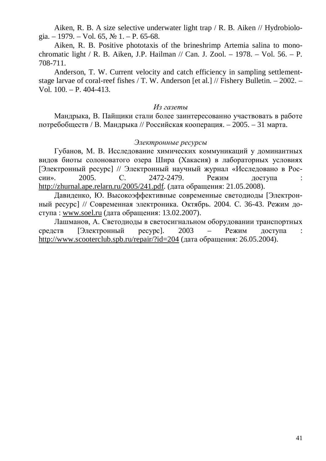Aiken, R. B. A size selective underwater light trap / R. B. Aiken // Hydrobiologia. – 1979. – Vol. 65,  $\mathbb{N}$  1. – P. 65-68.

Aiken, R. B. Positive phototaxis of the brineshrimp Artemia salina to monochromatic light / R. B. Aiken, J.P. Hailman // Can. J. Zool. – 1978. – Vol. 56. – P. 708-711.

Anderson, T. W. Current velocity and catch efficiency in sampling settlementstage larvae of coral-reef fishes / T. W. Anderson [et al.] // Fishery Bulletin. – 2002. – Vol. 100. – P. 404-413.

### $M$ *з газеты*

Мандрыка, В. Пайщики стали более заинтересованно участвовать в работе потребобществ / В. Мандрыка // Российская кооперация. – 2005. – 31 марта.

### Электронные ресурсы

Губанов, М. В. Исследование химических коммуникаций у доминантных видов биоты солоноватого озера Шира (Хакасия) в лабораторных условиях [Электронный ресурс] // Электронный научный журнал «Исследовано в России». 2005. С. 2472-2479. Режим доступа : [http://zhurnal.ape.relarn.ru/2005/241.pdf.](http://zhurnal.ape.relarn.ru/2005/241.pdf) (дата обращения: 21.05.2008).

Давиденко, Ю. Высокоэффективные современные светодиоды [Электронный ресурс] // Современная электроника. Октябрь. 2004. С. 36-43. Режим доступа : [www.soel.ru](http://www.soel.ru/) (дата обращения: 13.02.2007).

Лашманов, А. Светодиоды в светосигнальном оборудовании транспортных средств [Электронный ресурс]. 2003 – Режим доступа : <http://www.scooterclub.spb.ru/repair/?id=204>(дата обращения: 26.05.2004).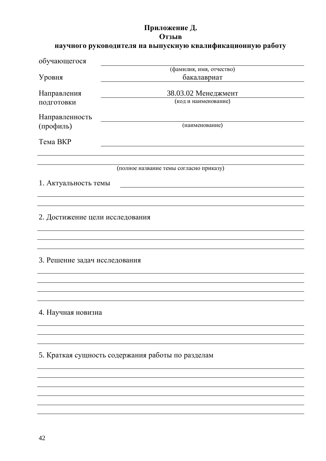# <span id="page-41-0"></span>Приложение Д. **Отзыв**

# научного руководителя на выпускную квалификационную работу

| обучающегося                                      |                                         |  |  |  |  |  |
|---------------------------------------------------|-----------------------------------------|--|--|--|--|--|
|                                                   | (фамилия, имя, отчество)                |  |  |  |  |  |
| Уровня                                            | бакалавриат                             |  |  |  |  |  |
| Направления                                       | 38.03.02 Менеджмент                     |  |  |  |  |  |
| подготовки                                        | (код и наименование)                    |  |  |  |  |  |
| Направленность                                    |                                         |  |  |  |  |  |
| (профиль)                                         | (наименование)                          |  |  |  |  |  |
| Тема ВКР                                          |                                         |  |  |  |  |  |
|                                                   |                                         |  |  |  |  |  |
|                                                   |                                         |  |  |  |  |  |
|                                                   | (полное название темы согласно приказу) |  |  |  |  |  |
| 1. Актуальность темы                              |                                         |  |  |  |  |  |
|                                                   |                                         |  |  |  |  |  |
|                                                   |                                         |  |  |  |  |  |
| 2. Достижение цели исследования                   |                                         |  |  |  |  |  |
|                                                   |                                         |  |  |  |  |  |
|                                                   |                                         |  |  |  |  |  |
|                                                   |                                         |  |  |  |  |  |
| 3. Решение задач исследования                     |                                         |  |  |  |  |  |
|                                                   |                                         |  |  |  |  |  |
|                                                   |                                         |  |  |  |  |  |
|                                                   |                                         |  |  |  |  |  |
| 4. Научная новизна                                |                                         |  |  |  |  |  |
|                                                   |                                         |  |  |  |  |  |
|                                                   |                                         |  |  |  |  |  |
| 5. Краткая сущность содержания работы по разделам |                                         |  |  |  |  |  |
|                                                   |                                         |  |  |  |  |  |
|                                                   |                                         |  |  |  |  |  |
|                                                   |                                         |  |  |  |  |  |
|                                                   |                                         |  |  |  |  |  |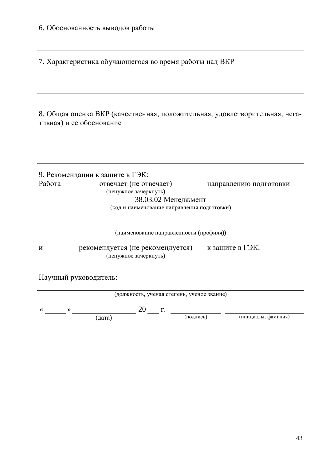7. Характеристика обучающегося во время работы над ВКР

8. Общая оценка ВКР (качественная, положительная, удовлетворительная, негативная) и ее обоснование

|                                             | 9. Рекомендации к защите в ГЭК:                           |                        |  |  |  |  |
|---------------------------------------------|-----------------------------------------------------------|------------------------|--|--|--|--|
| Работа                                      | отвечает (не отвечает)                                    | направлению подготовки |  |  |  |  |
|                                             | (ненужное зачеркнуть)                                     |                        |  |  |  |  |
| 38.03.02 Менеджмент                         |                                                           |                        |  |  |  |  |
| (код и наименование направления подготовки) |                                                           |                        |  |  |  |  |
|                                             |                                                           |                        |  |  |  |  |
|                                             |                                                           |                        |  |  |  |  |
| (наименование направленности (профиля))     |                                                           |                        |  |  |  |  |
| И                                           | рекомендуется (не рекомендуется)<br>(ненужное зачеркнуть) | к защите в ГЭК.        |  |  |  |  |

Научный руководитель:

(должность, ученая степень, ученое звание) «  $\rightarrow$  20  $\Gamma$ . (дата) (подпись) (инициалы, фамилия)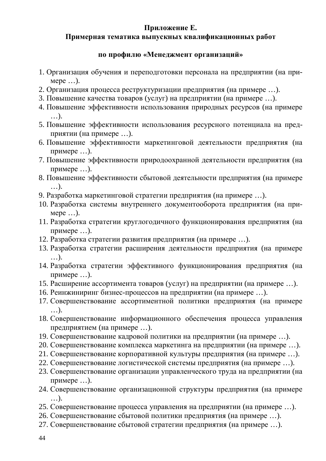# <span id="page-43-0"></span>Приложение Е.

# Примерная тематика выпускных квалификационных работ

## по профилю «Менеджмент организаций»

- 1. Организация обучения и переподготовки персонала на предприятии (на при $mepe$  ...).
- 2. Организация процесса реструктуризации предприятия (на примере ...).
- 3. Повышение качества товаров (услуг) на предприятии (на примере ...).
- 4. Повышение эффективности использования природных ресурсов (на примере …).
- 5. Повышение эффективности использования ресурсного потенциала на предприятии (на примере ...).
- 6. Повышение эффективности маркетинговой деятельности предприятия (на примере  $\ldots$ ).
- 7. Повышение эффективности природоохранной деятельности предприятия (на примере  $\ldots$ ).
- 8. Повышение эффективности сбытовой деятельности предприятия (на примере …).
- 9. Разработка маркетинговой стратегии предприятия (на примере ...).
- 10. Разработка системы внутреннего документооборота предприятия (на при $mepe$  ...).
- 11. Разработка стратегии круглогодичного функционирования предприятия (на примере  $\ldots$ ).
- 12. Разработка стратегии развития предприятия (на примере ...).
- 13. Разработка стратегии расширения деятельности предприятия (на примере …).
- 14. Разработка стратегии эффективного функционирования предприятия (на примере  $\ldots$ ).
- 15. Расширение ассортимента товаров (услуг) на предприятии (на примере ...).
- 16. Реинжиниринг бизнес-процессов на предприятии (на примере ...).
- 17. Совершенствование ассортиментной политики предприятия (на примере …).
- 18. Совершенствование информационного обеспечения процесса управления предприятием (на примере ...).
- 19. Совершенствование кадровой политики на предприятии (на примере ...).
- 20. Совершенствование комплекса маркетинга на предприятии (на примере ...).
- 21. Совершенствование корпоративной культуры предприятия (на примере ...).
- 22. Совершенствование логистической системы предприятия (на примере ...).
- 23. Совершенствование организации управленческого труда на предприятии (на примере  $\ldots$ ).
- 24. Совершенствование организационной структуры предприятия (на примере …).
- 25. Совершенствование процесса управления на предприятии (на примере ...).
- 26. Совершенствование сбытовой политики предприятия (на примере ...).
- 27. Совершенствование сбытовой стратегии предприятия (на примере ...).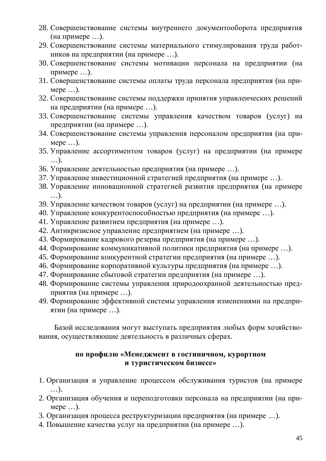- 28. Совершенствование системы внутреннего документооборота предприятия  $(na \pi p$ имере ...).
- 29. Совершенствование системы материального стимулирования труда работников на предприятии (на примере ...).
- 30. Совершенствование системы мотивации персонала на предприятии (на примере  $\ldots$ ).
- 31. Совершенствование системы оплаты труда персонала предприятия (на при $mepe$  ...).
- 32. Совершенствование системы поддержки принятия управленческих решений на предприятии (на примере ...).
- 33. Совершенствование системы управления качеством товаров (услуг) на предприятии (на примере ...).
- 34. Совершенствование системы управления персоналом предприятия (на при $mepe$  ...).
- 35. Управление ассортиментом товаров (услуг) на предприятии (на примере …).
- 36. Управление деятельностью предприятия (на примере ...).
- 37. Управление инвестиционной стратегией предприятия (на примере ...).
- 38. Управление инновационной стратегией развития предприятия (на примере …).
- 39. Управление качеством товаров (услуг) на предприятии (на примере ...).
- 40. Управление конкурентоспособностью предприятия (на примере ...).
- 41. Управление развитием предприятия (на примере ...).
- 42. Антикризисное управление предприятием (на примере ...).
- 43. Формирование кадрового резерва предприятия (на примере ...).
- 44. Формирование коммуникативной политики предприятия (на примере ...).
- 45. Формирование конкурентной стратегии предприятия (на примере ...).
- 46. Формирование корпоративной культуры предприятия (на примере ...).
- 47. Формирование сбытовой стратегии предприятия (на примере ...).
- 48. Формирование системы управления природоохранной деятельностью предприятия (на примере ...).
- 49. Формирование эффективной системы управления изменениями на предприятии (на примере ...).

Базой исследования могут выступать предприятия любых форм хозяйствования, осуществляющие деятельность в различных сферах.

# по профилю «Менеджмент в гостиничном, курортном и туристическом бизнесе»

- 1. Организация и управление процессом обслуживания туристов (на примере …).
- 2. Организация обучения и переподготовки персонала на предприятии (на при $mepe$  ...).
- 3. Организация процесса реструктуризации предприятия (на примере ...).
- 4. Повышение качества услуг на предприятии (на примере ...).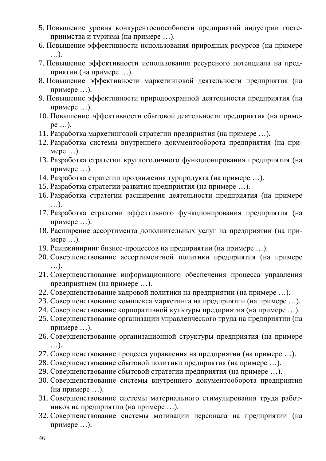- 5. Повышение уровня конкурентоспособности предприятий индустрии гостеприимства и туризма (на примере ...).
- 6. Повышение эффективности использования природных ресурсов (на примере …).
- 7. Повышение эффективности использования ресурсного потенциала на предприятии (на примере ...).
- 8. Повышение эффективности маркетинговой деятельности предприятия (на примере  $\ldots$ ).
- 9. Повышение эффективности природоохранной деятельности предприятия (на примере  $\ldots$ ).
- 10. Повышение эффективности сбытовой деятельности предприятия (на приме $pe$  ...).
- 11. Разработка маркетинговой стратегии предприятия (на примере ...).
- 12. Разработка системы внутреннего документооборота предприятия (на при $mepe$  ...).
- 13. Разработка стратегии круглогодичного функционирования предприятия (на примере  $\ldots$ ).
- 14. Разработка стратегии продвижения турпродукта (на примере ...).
- 15. Разработка стратегии развития предприятия (на примере ...).
- 16. Разработка стратегии расширения деятельности предприятия (на примере …).
- 17. Разработка стратегии эффективного функционирования предприятия (на примере  $\ldots$ ).
- 18. Расширение ассортимента дополнительных услуг на предприятии (на при $mepe$  ...).
- 19. Реинжиниринг бизнес-процессов на предприятии (на примере ...).
- 20. Совершенствование ассортиментной политики предприятия (на примере …).
- 21. Совершенствование информационного обеспечения процесса управления предприятием (на примере ...).
- 22. Совершенствование кадровой политики на предприятии (на примере ...).
- 23. Совершенствование комплекса маркетинга на предприятии (на примере ...).
- 24. Совершенствование корпоративной культуры предприятия (на примере ...).
- 25. Совершенствование организации управленческого труда на предприятии (на примере  $\ldots$ ).
- 26. Совершенствование организационной структуры предприятия (на примере …).
- 27. Совершенствование процесса управления на предприятии (на примере ...).
- 28. Совершенствование сбытовой политики предприятия (на примере ...).
- 29. Совершенствование сбытовой стратегии предприятия (на примере ...).
- 30. Совершенствование системы внутреннего документооборота предприятия  $(na \pi p$ имере ...).
- 31. Совершенствование системы материального стимулирования труда работников на предприятии (на примере ...).
- 32. Совершенствование системы мотивации персонала на предприятии (на примере  $\ldots$ ).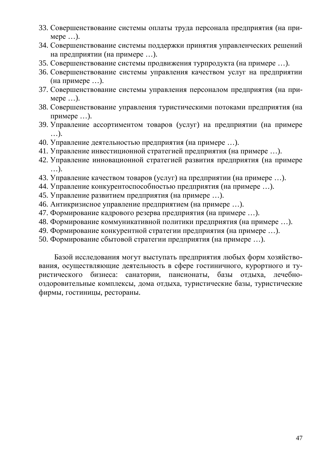- 33. Совершенствование системы оплаты труда персонала предприятия (на при $mepe$  ...).
- 34. Совершенствование системы поддержки принятия управленческих решений на предприятии (на примере ...).
- 35. Совершенствование системы продвижения турпродукта (на примере ...).
- 36. Совершенствование системы управления качеством услуг на предприятии  $(na \pi)$ иниере ...).
- 37. Совершенствование системы управления персоналом предприятия (на при $mepe$  ...).
- 38. Совершенствование управления туристическими потоками предприятия (на примере  $\ldots$ ).
- 39. Управление ассортиментом товаров (услуг) на предприятии (на примере …).
- 40. Управление деятельностью предприятия (на примере ...).
- 41. Управление инвестиционной стратегией предприятия (на примере ...).
- 42. Управление инновационной стратегией развития предприятия (на примере …).
- 43. Управление качеством товаров (услуг) на предприятии (на примере ...).
- 44. Управление конкурентоспособностью предприятия (на примере ...).
- 45. Управление развитием предприятия (на примере ...).
- 46. Антикризисное управление предприятием (на примере ...).
- 47. Формирование кадрового резерва предприятия (на примере ...).
- 48. Формирование коммуникативной политики предприятия (на примере ...).
- 49. Формирование конкурентной стратегии предприятия (на примере ...).
- 50. Формирование сбытовой стратегии предприятия (на примере ...).

Базой исследования могут выступать предприятия любых форм хозяйствования, осуществляющие деятельность в сфере гостиничного, курортного и туристического бизнеса: санатории, пансионаты, базы отдыха, лечебнооздоровительные комплексы, дома отдыха, туристические базы, туристические фирмы, гостиницы, рестораны.